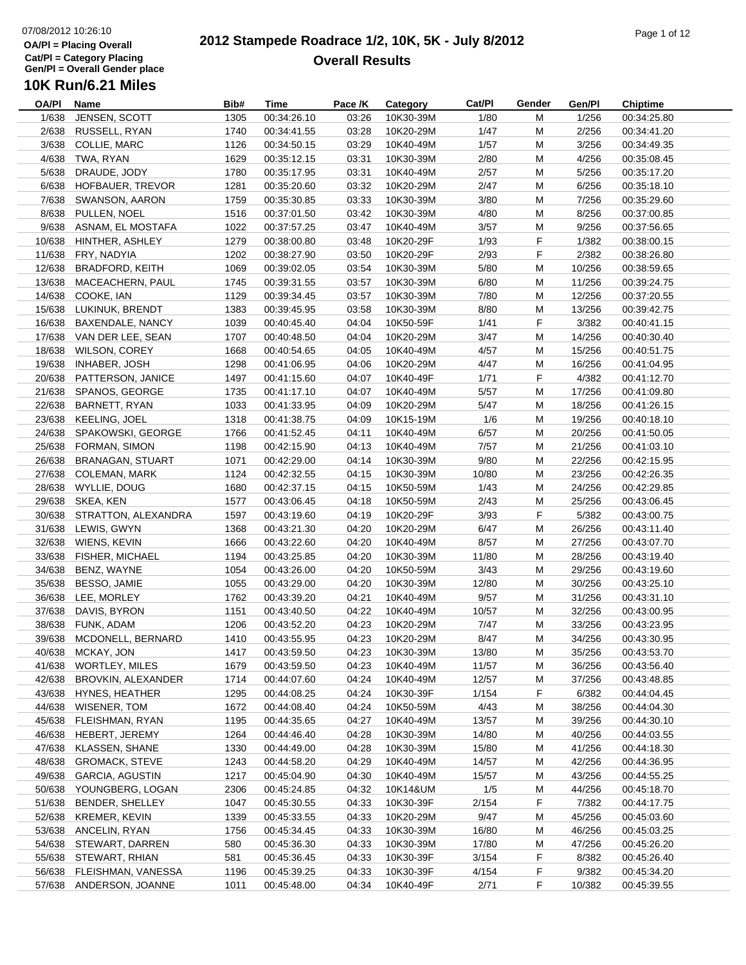#### **2012 Stampede Roadrace 1/2, 10K, 5K - July 8/2012**  $P_1$  of  $P_2$  of  $P_3$  of  $P_4$  of  $P_5$  of  $P_6$  of  $P_7$  of  $P_8$  of  $P_9$  of  $P_9$  of  $P_9$  of  $P_9$  of  $P_9$  of  $P_9$  of  $P_9$  of  $P_9$  of  $P_9$  of  $P_9$  of  $P_9$  of  $P_9$  of  $P_9$  of  $P_9$  of  $P_9$  of  $P_9$  of  $P_9$ **Overall Results**

| OA/PI  | Name                       | Bib# | Time        | Pace /K | Category  | Cat/PI | Gender    | Gen/Pl | <b>Chiptime</b> |
|--------|----------------------------|------|-------------|---------|-----------|--------|-----------|--------|-----------------|
| 1/638  | JENSEN, SCOTT              | 1305 | 00:34:26.10 | 03:26   | 10K30-39M | 1/80   | м         | 1/256  | 00:34:25.80     |
| 2/638  | RUSSELL, RYAN              | 1740 | 00:34:41.55 | 03:28   | 10K20-29M | 1/47   | M         | 2/256  | 00:34:41.20     |
| 3/638  | COLLIE, MARC               | 1126 | 00:34:50.15 | 03:29   | 10K40-49M | 1/57   | M         | 3/256  | 00:34:49.35     |
| 4/638  | TWA, RYAN                  | 1629 | 00:35:12.15 | 03:31   | 10K30-39M | 2/80   | M         | 4/256  | 00:35:08.45     |
| 5/638  | DRAUDE, JODY               | 1780 | 00:35:17.95 | 03:31   | 10K40-49M | 2/57   | M         | 5/256  | 00:35:17.20     |
| 6/638  | HOFBAUER, TREVOR           | 1281 | 00:35:20.60 | 03:32   | 10K20-29M | 2/47   | M         | 6/256  | 00:35:18.10     |
| 7/638  | SWANSON, AARON             | 1759 | 00:35:30.85 | 03:33   | 10K30-39M | 3/80   | M         | 7/256  | 00:35:29.60     |
| 8/638  | PULLEN, NOEL               | 1516 | 00:37:01.50 | 03:42   | 10K30-39M | 4/80   | ${\sf M}$ | 8/256  | 00:37:00.85     |
| 9/638  | ASNAM, EL MOSTAFA          | 1022 | 00:37:57.25 | 03:47   | 10K40-49M | 3/57   | M         | 9/256  | 00:37:56.65     |
| 10/638 | HINTHER, ASHLEY            | 1279 | 00:38:00.80 | 03:48   | 10K20-29F | 1/93   | F         | 1/382  | 00:38:00.15     |
| 11/638 | FRY, NADYIA                | 1202 | 00:38:27.90 | 03:50   | 10K20-29F | 2/93   | F         | 2/382  | 00:38:26.80     |
| 12/638 | <b>BRADFORD, KEITH</b>     | 1069 | 00:39:02.05 | 03:54   | 10K30-39M | 5/80   | M         | 10/256 | 00:38:59.65     |
| 13/638 | MACEACHERN, PAUL           | 1745 | 00:39:31.55 | 03:57   | 10K30-39M | 6/80   | M         | 11/256 | 00:39:24.75     |
|        | 14/638 COOKE, IAN          | 1129 | 00:39:34.45 | 03:57   | 10K30-39M | 7/80   | M         | 12/256 | 00:37:20.55     |
|        |                            |      |             |         |           |        |           |        |                 |
| 15/638 | LUKINUK, BRENDT            | 1383 | 00:39:45.95 | 03:58   | 10K30-39M | 8/80   | M         | 13/256 | 00:39:42.75     |
|        | 16/638 BAXENDALE, NANCY    | 1039 | 00:40:45.40 | 04:04   | 10K50-59F | 1/41   | F         | 3/382  | 00:40:41.15     |
|        | 17/638 VAN DER LEE, SEAN   | 1707 | 00:40:48.50 | 04:04   | 10K20-29M | 3/47   | M         | 14/256 | 00:40:30.40     |
|        | 18/638 WILSON, COREY       | 1668 | 00:40:54.65 | 04:05   | 10K40-49M | 4/57   | M         | 15/256 | 00:40:51.75     |
| 19/638 | INHABER, JOSH              | 1298 | 00:41:06.95 | 04:06   | 10K20-29M | 4/47   | M         | 16/256 | 00:41:04.95     |
|        | 20/638 PATTERSON, JANICE   | 1497 | 00:41:15.60 | 04:07   | 10K40-49F | 1/71   | F         | 4/382  | 00:41:12.70     |
|        | 21/638 SPANOS, GEORGE      | 1735 | 00:41:17.10 | 04:07   | 10K40-49M | 5/57   | M         | 17/256 | 00:41:09.80     |
| 22/638 | BARNETT, RYAN              | 1033 | 00:41:33.95 | 04:09   | 10K20-29M | 5/47   | M         | 18/256 | 00:41:26.15     |
| 23/638 | KEELING, JOEL              | 1318 | 00:41:38.75 | 04:09   | 10K15-19M | 1/6    | M         | 19/256 | 00:40:18.10     |
|        | 24/638 SPAKOWSKI, GEORGE   | 1766 | 00:41:52.45 | 04:11   | 10K40-49M | 6/57   | M         | 20/256 | 00:41:50.05     |
|        | 25/638 FORMAN, SIMON       | 1198 | 00:42:15.90 | 04:13   | 10K40-49M | 7/57   | M         | 21/256 | 00:41:03.10     |
| 26/638 | <b>BRANAGAN, STUART</b>    | 1071 | 00:42:29.00 | 04:14   | 10K30-39M | 9/80   | M         | 22/256 | 00:42:15.95     |
|        | 27/638 COLEMAN, MARK       | 1124 | 00:42:32.55 | 04:15   | 10K30-39M | 10/80  | M         | 23/256 | 00:42:26.35     |
|        | 28/638 WYLLIE, DOUG        | 1680 | 00:42:37.15 | 04:15   | 10K50-59M | 1/43   | М         | 24/256 | 00:42:29.85     |
|        | 29/638 SKEA, KEN           | 1577 | 00:43:06.45 | 04:18   | 10K50-59M | 2/43   | M         | 25/256 | 00:43:06.45     |
|        | 30/638 STRATTON, ALEXANDRA | 1597 | 00:43:19.60 | 04:19   | 10K20-29F | 3/93   | F         | 5/382  | 00:43:00.75     |
| 31/638 | LEWIS, GWYN                | 1368 | 00:43:21.30 | 04:20   | 10K20-29M | 6/47   | M         | 26/256 | 00:43:11.40     |
|        | 32/638 WIENS, KEVIN        | 1666 | 00:43:22.60 | 04:20   | 10K40-49M | 8/57   | M         | 27/256 | 00:43:07.70     |
| 33/638 | <b>FISHER, MICHAEL</b>     | 1194 | 00:43:25.85 | 04:20   | 10K30-39M | 11/80  | M         | 28/256 | 00:43:19.40     |
| 34/638 | BENZ, WAYNE                | 1054 | 00:43:26.00 | 04:20   | 10K50-59M | 3/43   | M         | 29/256 | 00:43:19.60     |
| 35/638 | BESSO, JAMIE               | 1055 | 00:43:29.00 | 04:20   | 10K30-39M | 12/80  | M         | 30/256 | 00:43:25.10     |
| 36/638 | LEE, MORLEY                | 1762 | 00:43:39.20 | 04:21   | 10K40-49M | 9/57   | м         | 31/256 | 00:43:31.10     |
| 37/638 | DAVIS, BYRON               | 1151 | 00:43:40.50 | 04:22   | 10K40-49M | 10/57  | M         | 32/256 | 00:43:00.95     |
| 38/638 | FUNK, ADAM                 | 1206 | 00:43:52.20 | 04:23   | 10K20-29M | 7/47   | M         | 33/256 | 00:43:23.95     |
| 39/638 | MCDONELL, BERNARD          | 1410 | 00:43:55.95 | 04:23   | 10K20-29M | 8/47   | М         | 34/256 | 00:43:30.95     |
|        | 40/638 MCKAY, JON          | 1417 | 00:43:59.50 | 04:23   | 10K30-39M | 13/80  | M         | 35/256 | 00:43:53.70     |
| 41/638 | <b>WORTLEY, MILES</b>      | 1679 | 00:43:59.50 | 04:23   | 10K40-49M | 11/57  | M         | 36/256 | 00:43:56.40     |
| 42/638 | BROVKIN, ALEXANDER         | 1714 | 00:44:07.60 | 04:24   | 10K40-49M | 12/57  | M         | 37/256 | 00:43:48.85     |
| 43/638 | HYNES, HEATHER             | 1295 | 00:44:08.25 | 04:24   | 10K30-39F | 1/154  | F         | 6/382  | 00:44:04.45     |
| 44/638 | WISENER, TOM               | 1672 | 00:44:08.40 | 04:24   | 10K50-59M | 4/43   | M         | 38/256 | 00:44:04.30     |
| 45/638 | FLEISHMAN, RYAN            | 1195 | 00:44:35.65 | 04:27   | 10K40-49M | 13/57  | M         | 39/256 | 00:44:30.10     |
| 46/638 | HEBERT, JEREMY             | 1264 | 00:44:46.40 | 04:28   | 10K30-39M | 14/80  | M         | 40/256 | 00:44:03.55     |
| 47/638 | KLASSEN, SHANE             | 1330 | 00:44:49.00 | 04:28   | 10K30-39M | 15/80  | M         | 41/256 | 00:44:18.30     |
|        | 48/638 GROMACK, STEVE      | 1243 | 00:44:58.20 | 04:29   | 10K40-49M | 14/57  | M         | 42/256 | 00:44:36.95     |
| 49/638 | GARCIA, AGUSTIN            | 1217 | 00:45:04.90 | 04:30   | 10K40-49M | 15/57  | M         | 43/256 | 00:44:55.25     |
|        | 50/638 YOUNGBERG, LOGAN    | 2306 | 00:45:24.85 | 04:32   | 10K14&UM  | 1/5    | M         | 44/256 | 00:45:18.70     |
| 51/638 | BENDER, SHELLEY            | 1047 | 00:45:30.55 | 04:33   | 10K30-39F | 2/154  | F         | 7/382  | 00:44:17.75     |
| 52/638 | KREMER, KEVIN              | 1339 | 00:45:33.55 | 04:33   | 10K20-29M | 9/47   | M         | 45/256 | 00:45:03.60     |
| 53/638 | ANCELIN, RYAN              | 1756 | 00:45:34.45 | 04:33   | 10K30-39M | 16/80  | M         | 46/256 | 00:45:03.25     |
|        | 54/638 STEWART, DARREN     | 580  | 00:45:36.30 | 04:33   | 10K30-39M | 17/80  | M         | 47/256 | 00:45:26.20     |
|        | 55/638 STEWART, RHIAN      | 581  | 00:45:36.45 | 04:33   | 10K30-39F | 3/154  | F         | 8/382  | 00:45:26.40     |
| 56/638 | FLEISHMAN, VANESSA         | 1196 | 00:45:39.25 | 04:33   | 10K30-39F | 4/154  | F.        | 9/382  | 00:45:34.20     |
|        | 57/638 ANDERSON, JOANNE    | 1011 | 00:45:48.00 | 04:34   | 10K40-49F | 2/71   | F         | 10/382 | 00:45:39.55     |
|        |                            |      |             |         |           |        |           |        |                 |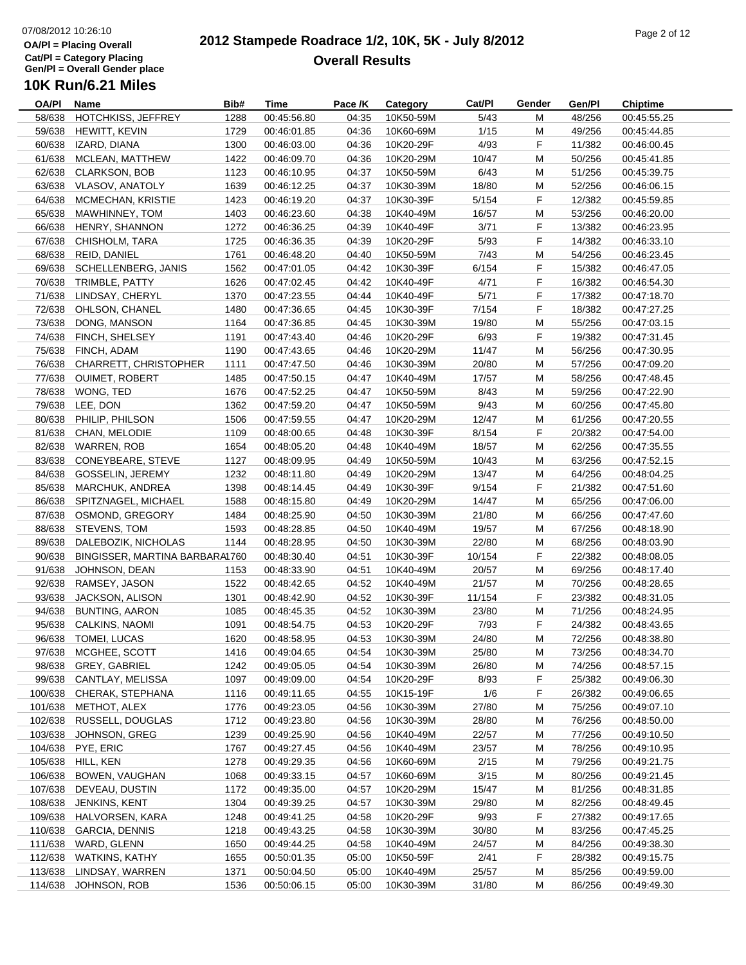#### **2012 Stampede Roadrace 1/2, 10K, 5K - July 8/2012**  $P_1$  of  $P_2$  of  $P_3$  of  $P_4$  of  $P_5$  of  $P_6$  of  $P_7$  of  $P_8$  of  $P_7$  of  $P_8$  of  $P_9$  of  $P_9$  of  $P_9$  of  $P_9$  of  $P_9$  of  $P_9$  of  $P_9$  of  $P_9$  of  $P_9$  of  $P_9$  of  $P_9$  of  $P_9$  of  $P_9$  of  $P_9$  of  $P_9$ **Overall Results**

| OA/PI   | Name                           | Bib# | Time        | Pace /K | Category  | Cat/PI | Gender | Gen/Pl | <b>Chiptime</b> |
|---------|--------------------------------|------|-------------|---------|-----------|--------|--------|--------|-----------------|
| 58/638  | HOTCHKISS, JEFFREY             | 1288 | 00:45:56.80 | 04:35   | 10K50-59M | 5/43   | м      | 48/256 | 00:45:55.25     |
| 59/638  | HEWITT, KEVIN                  | 1729 | 00:46:01.85 | 04:36   | 10K60-69M | 1/15   | M      | 49/256 | 00:45:44.85     |
| 60/638  | IZARD, DIANA                   | 1300 | 00:46:03.00 | 04:36   | 10K20-29F | 4/93   | F      | 11/382 | 00:46:00.45     |
| 61/638  | MCLEAN, MATTHEW                | 1422 | 00:46:09.70 | 04:36   | 10K20-29M | 10/47  | M      | 50/256 | 00:45:41.85     |
| 62/638  | <b>CLARKSON, BOB</b>           | 1123 | 00:46:10.95 | 04:37   | 10K50-59M | 6/43   | M      | 51/256 | 00:45:39.75     |
| 63/638  | VLASOV, ANATOLY                | 1639 | 00:46:12.25 | 04:37   | 10K30-39M | 18/80  | M      | 52/256 | 00:46:06.15     |
| 64/638  | MCMECHAN, KRISTIE              | 1423 | 00:46:19.20 | 04:37   | 10K30-39F | 5/154  | F      | 12/382 | 00:45:59.85     |
| 65/638  | MAWHINNEY, TOM                 | 1403 | 00:46:23.60 | 04:38   | 10K40-49M | 16/57  | M      | 53/256 | 00:46:20.00     |
| 66/638  | HENRY, SHANNON                 | 1272 | 00:46:36.25 | 04:39   | 10K40-49F | 3/71   | F      | 13/382 | 00:46:23.95     |
| 67/638  | CHISHOLM, TARA                 | 1725 | 00:46:36.35 | 04:39   | 10K20-29F | 5/93   | F      | 14/382 | 00:46:33.10     |
| 68/638  | REID, DANIEL                   | 1761 | 00:46:48.20 | 04:40   | 10K50-59M | 7/43   | M      | 54/256 | 00:46:23.45     |
| 69/638  | SCHELLENBERG, JANIS            | 1562 | 00:47:01.05 | 04:42   | 10K30-39F | 6/154  | F.     | 15/382 | 00:46:47.05     |
|         | 70/638 TRIMBLE, PATTY          | 1626 | 00:47:02.45 | 04:42   | 10K40-49F | 4/71   | F      | 16/382 | 00:46:54.30     |
|         | 71/638 LINDSAY, CHERYL         | 1370 | 00:47:23.55 | 04:44   | 10K40-49F | 5/71   | F      | 17/382 | 00:47:18.70     |
| 72/638  | OHLSON, CHANEL                 | 1480 | 00:47:36.65 | 04:45   | 10K30-39F | 7/154  | F      | 18/382 | 00:47:27.25     |
| 73/638  | DONG, MANSON                   | 1164 | 00:47:36.85 | 04:45   | 10K30-39M | 19/80  | M      | 55/256 | 00:47:03.15     |
| 74/638  | FINCH, SHELSEY                 | 1191 | 00:47:43.40 | 04:46   | 10K20-29F | 6/93   | F      | 19/382 | 00:47:31.45     |
|         | 75/638 FINCH, ADAM             | 1190 | 00:47:43.65 | 04:46   | 10K20-29M | 11/47  | M      | 56/256 | 00:47:30.95     |
| 76/638  | <b>CHARRETT, CHRISTOPHER</b>   | 1111 | 00:47:47.50 | 04:46   | 10K30-39M | 20/80  | M      | 57/256 | 00:47:09.20     |
| 77/638  | <b>OUIMET, ROBERT</b>          | 1485 |             | 04:47   | 10K40-49M | 17/57  | M      | 58/256 |                 |
|         | 78/638 WONG, TED               |      | 00:47:50.15 |         |           |        |        |        | 00:47:48.45     |
|         |                                | 1676 | 00:47:52.25 | 04:47   | 10K50-59M | 8/43   | M      | 59/256 | 00:47:22.90     |
|         | 79/638 LEE, DON                | 1362 | 00:47:59.20 | 04:47   | 10K50-59M | 9/43   | M      | 60/256 | 00:47:45.80     |
| 80/638  | PHILIP, PHILSON                | 1506 | 00:47:59.55 | 04:47   | 10K20-29M | 12/47  | M      | 61/256 | 00:47:20.55     |
| 81/638  | CHAN, MELODIE                  | 1109 | 00:48:00.65 | 04:48   | 10K30-39F | 8/154  | F      | 20/382 | 00:47:54.00     |
|         | 82/638 WARREN, ROB             | 1654 | 00:48:05.20 | 04:48   | 10K40-49M | 18/57  | M      | 62/256 | 00:47:35.55     |
|         | 83/638 CONEYBEARE, STEVE       | 1127 | 00:48:09.95 | 04:49   | 10K50-59M | 10/43  | M      | 63/256 | 00:47:52.15     |
| 84/638  | GOSSELIN, JEREMY               | 1232 | 00:48:11.80 | 04:49   | 10K20-29M | 13/47  | M      | 64/256 | 00:48:04.25     |
| 85/638  | MARCHUK, ANDREA                | 1398 | 00:48:14.45 | 04:49   | 10K30-39F | 9/154  | F.     | 21/382 | 00:47:51.60     |
| 86/638  | SPITZNAGEL, MICHAEL            | 1588 | 00:48:15.80 | 04:49   | 10K20-29M | 14/47  | M      | 65/256 | 00:47:06.00     |
|         | 87/638 OSMOND, GREGORY         | 1484 | 00:48:25.90 | 04:50   | 10K30-39M | 21/80  | M      | 66/256 | 00:47:47.60     |
| 88/638  | STEVENS, TOM                   | 1593 | 00:48:28.85 | 04:50   | 10K40-49M | 19/57  | M      | 67/256 | 00:48:18.90     |
| 89/638  | DALEBOZIK, NICHOLAS            | 1144 | 00:48:28.95 | 04:50   | 10K30-39M | 22/80  | M      | 68/256 | 00:48:03.90     |
| 90/638  | BINGISSER, MARTINA BARBARA1760 |      | 00:48:30.40 | 04:51   | 10K30-39F | 10/154 | F      | 22/382 | 00:48:08.05     |
| 91/638  | JOHNSON, DEAN                  | 1153 | 00:48:33.90 | 04:51   | 10K40-49M | 20/57  | M      | 69/256 | 00:48:17.40     |
| 92/638  | RAMSEY, JASON                  | 1522 | 00:48:42.65 | 04:52   | 10K40-49M | 21/57  | M      | 70/256 | 00:48:28.65     |
| 93/638  | JACKSON, ALISON                | 1301 | 00:48:42.90 | 04:52   | 10K30-39F | 11/154 | F.     | 23/382 | 00:48:31.05     |
| 94/638  | <b>BUNTING, AARON</b>          | 1085 | 00:48:45.35 | 04:52   | 10K30-39M | 23/80  | M      | 71/256 | 00:48:24.95     |
| 95/638  | CALKINS, NAOMI                 | 1091 | 00:48:54.75 | 04:53   | 10K20-29F | 7/93   | F      | 24/382 | 00:48:43.65     |
| 96/638  | <b>TOMEI, LUCAS</b>            | 1620 | 00:48:58.95 | 04:53   | 10K30-39M | 24/80  | M      | 72/256 | 00:48:38.80     |
|         | 97/638 MCGHEE, SCOTT           | 1416 | 00:49:04.65 | 04:54   | 10K30-39M | 25/80  | M      | 73/256 | 00:48:34.70     |
| 98/638  | GREY, GABRIEL                  | 1242 | 00:49:05.05 | 04:54   | 10K30-39M | 26/80  | M      | 74/256 | 00:48:57.15     |
|         | 99/638 CANTLAY, MELISSA        | 1097 | 00:49:09.00 | 04:54   | 10K20-29F | 8/93   | F      | 25/382 | 00:49:06.30     |
| 100/638 | CHERAK, STEPHANA               | 1116 | 00:49:11.65 | 04:55   | 10K15-19F | 1/6    | F      | 26/382 | 00:49:06.65     |
| 101/638 | METHOT, ALEX                   | 1776 | 00:49:23.05 | 04:56   | 10K30-39M | 27/80  | M      | 75/256 | 00:49:07.10     |
| 102/638 | RUSSELL, DOUGLAS               | 1712 | 00:49:23.80 | 04:56   | 10K30-39M | 28/80  | M      | 76/256 | 00:48:50.00     |
| 103/638 | JOHNSON, GREG                  | 1239 | 00:49:25.90 | 04:56   | 10K40-49M | 22/57  | M      | 77/256 | 00:49:10.50     |
| 104/638 | PYE, ERIC                      | 1767 | 00:49:27.45 | 04:56   | 10K40-49M | 23/57  | M      | 78/256 | 00:49:10.95     |
| 105/638 | HILL, KEN                      | 1278 | 00:49:29.35 | 04:56   | 10K60-69M | 2/15   | M      | 79/256 | 00:49:21.75     |
| 106/638 | BOWEN, VAUGHAN                 | 1068 | 00:49:33.15 | 04:57   | 10K60-69M | 3/15   | M      | 80/256 | 00:49:21.45     |
| 107/638 | DEVEAU, DUSTIN                 | 1172 | 00:49:35.00 | 04:57   | 10K20-29M | 15/47  | M      | 81/256 | 00:48:31.85     |
| 108/638 | JENKINS, KENT                  | 1304 | 00:49:39.25 | 04:57   | 10K30-39M | 29/80  | M      | 82/256 | 00:48:49.45     |
| 109/638 | HALVORSEN, KARA                | 1248 | 00:49:41.25 | 04:58   | 10K20-29F | 9/93   | F.     | 27/382 | 00:49:17.65     |
| 110/638 | <b>GARCIA, DENNIS</b>          | 1218 | 00:49:43.25 | 04:58   | 10K30-39M | 30/80  | M      | 83/256 | 00:47:45.25     |
| 111/638 | WARD, GLENN                    | 1650 | 00:49:44.25 | 04:58   | 10K40-49M | 24/57  | M      | 84/256 | 00:49:38.30     |
| 112/638 | <b>WATKINS, KATHY</b>          | 1655 | 00:50:01.35 | 05:00   | 10K50-59F | 2/41   | F      | 28/382 | 00:49:15.75     |
| 113/638 | LINDSAY, WARREN                | 1371 | 00:50:04.50 | 05:00   | 10K40-49M | 25/57  | M      | 85/256 | 00:49:59.00     |
|         | 114/638 JOHNSON, ROB           | 1536 | 00:50:06.15 | 05:00   | 10K30-39M | 31/80  | M      | 86/256 | 00:49:49.30     |
|         |                                |      |             |         |           |        |        |        |                 |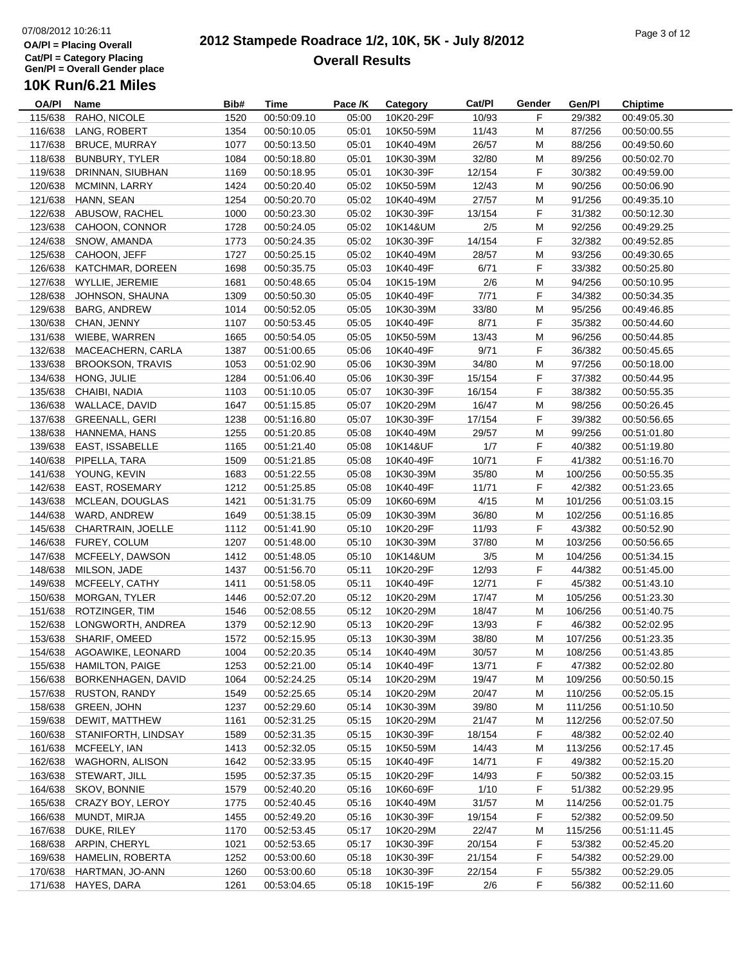#### **2012 Stampede Roadrace 1/2, 10K, 5K - July 8/2012**  $P_1$  of  $P_2$  of  $P_3$  of  $P_4$  or  $P_5$  of  $P_5$  or  $P_6$  or  $P_7$  or  $P_8$  or  $P_9$  or  $P_9$  or  $P_9$  or  $P_9$  or  $P_9$  or  $P_9$  or  $P_9$  or  $P_9$  or  $P_9$  or  $P_9$  or  $P_9$  or  $P_9$  or  $P_9$  or  $P_9$  or  $P_9$  or  $P_9$ **Overall Results**

**Name Bib# Time Category Cat/Pl Gen/Pl Chiptime**

Category Cat/Pl Gender

**Pace /K**

## **10K Run/6.21 Miles**

**OA/Pl**

|         | 115/638 RAHO, NICOLE    | 1520 | 00:50:09.10 | 05:00 | 10K20-29F | 10/93  | F  | 29/382  | 00:49:05.30 |  |
|---------|-------------------------|------|-------------|-------|-----------|--------|----|---------|-------------|--|
| 116/638 | LANG, ROBERT            | 1354 | 00:50:10.05 | 05:01 | 10K50-59M | 11/43  | M  | 87/256  | 00:50:00.55 |  |
| 117/638 | <b>BRUCE, MURRAY</b>    | 1077 | 00:50:13.50 | 05:01 | 10K40-49M | 26/57  | M  | 88/256  | 00:49:50.60 |  |
| 118/638 | BUNBURY, TYLER          | 1084 | 00:50:18.80 | 05:01 | 10K30-39M | 32/80  | M  | 89/256  | 00:50:02.70 |  |
| 119/638 | DRINNAN, SIUBHAN        | 1169 | 00:50:18.95 | 05:01 | 10K30-39F | 12/154 | F  | 30/382  | 00:49:59.00 |  |
| 120/638 | MCMINN, LARRY           | 1424 | 00:50:20.40 | 05:02 | 10K50-59M | 12/43  | M  | 90/256  | 00:50:06.90 |  |
|         |                         |      |             |       | 10K40-49M |        |    |         |             |  |
| 121/638 | HANN, SEAN              | 1254 | 00:50:20.70 | 05:02 |           | 27/57  | M  | 91/256  | 00:49:35.10 |  |
| 122/638 | ABUSOW, RACHEL          | 1000 | 00:50:23.30 | 05:02 | 10K30-39F | 13/154 | F  | 31/382  | 00:50:12.30 |  |
|         | 123/638 CAHOON, CONNOR  | 1728 | 00:50:24.05 | 05:02 | 10K14&UM  | 2/5    | M  | 92/256  | 00:49:29.25 |  |
| 124/638 | SNOW, AMANDA            | 1773 | 00:50:24.35 | 05:02 | 10K30-39F | 14/154 | F  | 32/382  | 00:49:52.85 |  |
|         | 125/638 CAHOON, JEFF    | 1727 | 00:50:25.15 | 05:02 | 10K40-49M | 28/57  | M  | 93/256  | 00:49:30.65 |  |
| 126/638 | KATCHMAR, DOREEN        | 1698 | 00:50:35.75 | 05:03 | 10K40-49F | 6/71   | F  | 33/382  | 00:50:25.80 |  |
|         | 127/638 WYLLIE, JEREMIE | 1681 | 00:50:48.65 | 05:04 | 10K15-19M | 2/6    | M  | 94/256  | 00:50:10.95 |  |
| 128/638 | JOHNSON, SHAUNA         | 1309 | 00:50:50.30 | 05:05 | 10K40-49F | 7/71   | F  | 34/382  | 00:50:34.35 |  |
| 129/638 | <b>BARG, ANDREW</b>     | 1014 | 00:50:52.05 | 05:05 | 10K30-39M | 33/80  | M  | 95/256  | 00:49:46.85 |  |
|         | 130/638 CHAN, JENNY     | 1107 | 00:50:53.45 | 05:05 | 10K40-49F | 8/71   | F  | 35/382  | 00:50:44.60 |  |
|         | 131/638 WIEBE, WARREN   | 1665 | 00:50:54.05 | 05:05 | 10K50-59M | 13/43  | M  | 96/256  | 00:50:44.85 |  |
| 132/638 | MACEACHERN, CARLA       | 1387 | 00:51:00.65 | 05:06 | 10K40-49F | 9/71   | F  | 36/382  | 00:50:45.65 |  |
| 133/638 | <b>BROOKSON, TRAVIS</b> | 1053 | 00:51:02.90 | 05:06 | 10K30-39M | 34/80  | M  | 97/256  | 00:50:18.00 |  |
| 134/638 | HONG, JULIE             | 1284 | 00:51:06.40 | 05:06 | 10K30-39F | 15/154 | F  | 37/382  | 00:50:44.95 |  |
| 135/638 | CHAIBI, NADIA           | 1103 | 00:51:10.05 | 05:07 | 10K30-39F | 16/154 | F  | 38/382  | 00:50:55.35 |  |
|         |                         |      |             |       |           |        |    |         |             |  |
| 136/638 | WALLACE, DAVID          | 1647 | 00:51:15.85 | 05:07 | 10K20-29M | 16/47  | M  | 98/256  | 00:50:26.45 |  |
| 137/638 | <b>GREENALL, GERI</b>   | 1238 | 00:51:16.80 | 05:07 | 10K30-39F | 17/154 | F  | 39/382  | 00:50:56.65 |  |
| 138/638 | HANNEMA, HANS           | 1255 | 00:51:20.85 | 05:08 | 10K40-49M | 29/57  | M  | 99/256  | 00:51:01.80 |  |
|         | 139/638 EAST, ISSABELLE | 1165 | 00:51:21.40 | 05:08 | 10K14&UF  | 1/7    | F  | 40/382  | 00:51:19.80 |  |
|         | 140/638 PIPELLA, TARA   | 1509 | 00:51:21.85 | 05:08 | 10K40-49F | 10/71  | F  | 41/382  | 00:51:16.70 |  |
|         | 141/638 YOUNG, KEVIN    | 1683 | 00:51:22.55 | 05:08 | 10K30-39M | 35/80  | M  | 100/256 | 00:50:55.35 |  |
|         | 142/638 EAST, ROSEMARY  | 1212 | 00:51:25.85 | 05:08 | 10K40-49F | 11/71  | F  | 42/382  | 00:51:23.65 |  |
| 143/638 | MCLEAN, DOUGLAS         | 1421 | 00:51:31.75 | 05:09 | 10K60-69M | 4/15   | M  | 101/256 | 00:51:03.15 |  |
| 144/638 | WARD, ANDREW            | 1649 | 00:51:38.15 | 05:09 | 10K30-39M | 36/80  | M  | 102/256 | 00:51:16.85 |  |
| 145/638 | CHARTRAIN, JOELLE       | 1112 | 00:51:41.90 | 05:10 | 10K20-29F | 11/93  | F  | 43/382  | 00:50:52.90 |  |
| 146/638 | FUREY, COLUM            | 1207 | 00:51:48.00 | 05:10 | 10K30-39M | 37/80  | M  | 103/256 | 00:50:56.65 |  |
| 147/638 | MCFEELY, DAWSON         | 1412 | 00:51:48.05 | 05:10 | 10K14&UM  | 3/5    | M  | 104/256 | 00:51:34.15 |  |
| 148/638 | MILSON, JADE            | 1437 | 00:51:56.70 | 05:11 | 10K20-29F | 12/93  | F  | 44/382  | 00:51:45.00 |  |
| 149/638 | MCFEELY, CATHY          | 1411 | 00:51:58.05 | 05:11 | 10K40-49F | 12/71  | F  | 45/382  | 00:51:43.10 |  |
| 150/638 | MORGAN, TYLER           | 1446 | 00:52:07.20 | 05:12 | 10K20-29M | 17/47  | M  | 105/256 | 00:51:23.30 |  |
| 151/638 | ROTZINGER, TIM          | 1546 | 00:52:08.55 | 05:12 | 10K20-29M | 18/47  | M  | 106/256 | 00:51:40.75 |  |
| 152/638 | LONGWORTH, ANDREA       | 1379 | 00:52:12.90 | 05:13 | 10K20-29F | 13/93  | F  | 46/382  | 00:52:02.95 |  |
| 153/638 | SHARIF, OMEED           | 1572 | 00:52:15.95 | 05:13 | 10K30-39M | 38/80  | M  | 107/256 | 00:51:23.35 |  |
|         |                         |      |             |       |           |        |    |         |             |  |
| 154/638 | AGOAWIKE, LEONARD       | 1004 | 00:52:20.35 | 05:14 | 10K40-49M | 30/57  | М  | 108/256 | 00:51:43.85 |  |
| 155/638 | <b>HAMILTON, PAIGE</b>  | 1253 | 00:52:21.00 | 05:14 | 10K40-49F | 13/71  | F  | 47/382  | 00:52:02.80 |  |
| 156/638 | BORKENHAGEN, DAVID      | 1064 | 00:52:24.25 | 05:14 | 10K20-29M | 19/47  | M  | 109/256 | 00:50:50.15 |  |
| 157/638 | <b>RUSTON, RANDY</b>    | 1549 | 00:52:25.65 | 05:14 | 10K20-29M | 20/47  | M  | 110/256 | 00:52:05.15 |  |
| 158/638 | GREEN, JOHN             | 1237 | 00:52:29.60 | 05:14 | 10K30-39M | 39/80  | M  | 111/256 | 00:51:10.50 |  |
| 159/638 | DEWIT, MATTHEW          | 1161 | 00:52:31.25 | 05:15 | 10K20-29M | 21/47  | M  | 112/256 | 00:52:07.50 |  |
| 160/638 | STANIFORTH, LINDSAY     | 1589 | 00:52:31.35 | 05:15 | 10K30-39F | 18/154 | F. | 48/382  | 00:52:02.40 |  |
| 161/638 | MCFEELY, IAN            | 1413 | 00:52:32.05 | 05:15 | 10K50-59M | 14/43  | M  | 113/256 | 00:52:17.45 |  |
| 162/638 | WAGHORN, ALISON         | 1642 | 00:52:33.95 | 05:15 | 10K40-49F | 14/71  | F  | 49/382  | 00:52:15.20 |  |
| 163/638 | STEWART, JILL           | 1595 | 00:52:37.35 | 05:15 | 10K20-29F | 14/93  | F  | 50/382  | 00:52:03.15 |  |
| 164/638 | SKOV, BONNIE            | 1579 | 00:52:40.20 | 05:16 | 10K60-69F | 1/10   | F  | 51/382  | 00:52:29.95 |  |
| 165/638 | CRAZY BOY, LEROY        | 1775 | 00:52:40.45 | 05:16 | 10K40-49M | 31/57  | M  | 114/256 | 00:52:01.75 |  |
| 166/638 | MUNDT, MIRJA            | 1455 | 00:52:49.20 | 05:16 | 10K30-39F | 19/154 | F. | 52/382  | 00:52:09.50 |  |
| 167/638 | DUKE, RILEY             | 1170 | 00:52:53.45 | 05:17 | 10K20-29M | 22/47  | M  | 115/256 | 00:51:11.45 |  |
| 168/638 | ARPIN, CHERYL           | 1021 | 00:52:53.65 | 05:17 | 10K30-39F | 20/154 | F  | 53/382  | 00:52:45.20 |  |
| 169/638 | HAMELIN, ROBERTA        | 1252 | 00:53:00.60 | 05:18 | 10K30-39F | 21/154 | F  | 54/382  | 00:52:29.00 |  |
| 170/638 | HARTMAN, JO-ANN         | 1260 | 00:53:00.60 | 05:18 | 10K30-39F | 22/154 | F  | 55/382  | 00:52:29.05 |  |
|         |                         |      |             |       |           |        |    |         |             |  |
| 171/638 | HAYES, DARA             | 1261 | 00:53:04.65 | 05:18 | 10K15-19F | 2/6    | F  | 56/382  | 00:52:11.60 |  |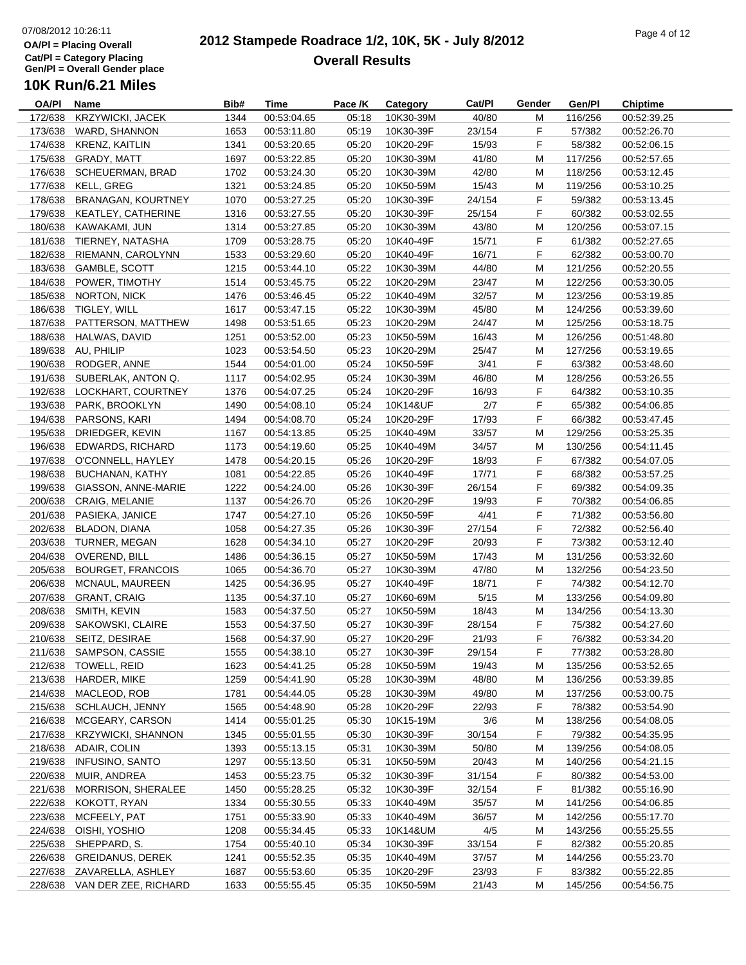#### **2012 Stampede Roadrace 1/2, 10K, 5K - July 8/2012**  $P_1$  and  $P_2$  of  $P_3$  of  $P_4$  or  $P_5$  of  $P_5$  or  $P_6$  or  $P_7$  or  $P_8$  or  $P_9$  or  $P_9$  or  $P_9$  or  $P_9$  or  $P_9$  or  $P_9$  or  $P_9$  or  $P_9$  or  $P_9$  or  $P_9$  or  $P_9$  or  $P_9$  or  $P_9$  or  $P_9$  or  $P_9$  or  $P_9$ **Overall Results**

| OA/PI   | Name                         | Bib# | <b>Time</b> | Pace /K | Category               | Cat/Pl | Gender | Gen/Pl  | Chiptime    |
|---------|------------------------------|------|-------------|---------|------------------------|--------|--------|---------|-------------|
| 172/638 | <b>KRZYWICKI, JACEK</b>      | 1344 | 00:53:04.65 | 05:18   | 10K30-39M              | 40/80  | М      | 116/256 | 00:52:39.25 |
| 173/638 | WARD, SHANNON                | 1653 | 00:53:11.80 | 05:19   | 10K30-39F              | 23/154 | F      | 57/382  | 00:52:26.70 |
| 174/638 | KRENZ, KAITLIN               | 1341 | 00:53:20.65 | 05:20   | 10K20-29F              | 15/93  | F      | 58/382  | 00:52:06.15 |
| 175/638 | GRADY, MATT                  | 1697 | 00:53:22.85 | 05:20   | 10K30-39M              | 41/80  | М      | 117/256 | 00:52:57.65 |
| 176/638 | SCHEUERMAN, BRAD             | 1702 | 00:53:24.30 | 05:20   | 10K30-39M              | 42/80  | М      | 118/256 | 00:53:12.45 |
| 177/638 | KELL, GREG                   | 1321 | 00:53:24.85 | 05:20   | 10K50-59M              | 15/43  | M      | 119/256 | 00:53:10.25 |
| 178/638 | BRANAGAN, KOURTNEY           | 1070 | 00:53:27.25 | 05:20   | 10K30-39F              | 24/154 | F      | 59/382  | 00:53:13.45 |
| 179/638 | <b>KEATLEY, CATHERINE</b>    | 1316 | 00:53:27.55 | 05:20   | 10K30-39F              | 25/154 | F      | 60/382  | 00:53:02.55 |
| 180/638 | KAWAKAMI, JUN                | 1314 | 00:53:27.85 | 05:20   | 10K30-39M              | 43/80  | M      | 120/256 | 00:53:07.15 |
| 181/638 | TIERNEY, NATASHA             | 1709 | 00:53:28.75 | 05:20   | 10K40-49F              | 15/71  | F      | 61/382  | 00:52:27.65 |
| 182/638 | RIEMANN, CAROLYNN            | 1533 | 00:53:29.60 | 05:20   | 10K40-49F              | 16/71  | F      | 62/382  | 00:53:00.70 |
|         | 183/638 GAMBLE, SCOTT        | 1215 | 00:53:44.10 | 05:22   | 10K30-39M              | 44/80  | М      | 121/256 | 00:52:20.55 |
| 184/638 | POWER, TIMOTHY               | 1514 | 00:53:45.75 | 05:22   | 10K20-29M              | 23/47  | М      | 122/256 | 00:53:30.05 |
| 185/638 | NORTON, NICK                 | 1476 | 00:53:46.45 | 05:22   | 10K40-49M              | 32/57  | М      | 123/256 | 00:53:19.85 |
| 186/638 | TIGLEY, WILL                 | 1617 | 00:53:47.15 | 05:22   | 10K30-39M              | 45/80  | М      | 124/256 | 00:53:39.60 |
| 187/638 | PATTERSON, MATTHEW           | 1498 | 00:53:51.65 | 05:23   | 10K20-29M              | 24/47  | M      | 125/256 | 00:53:18.75 |
|         | HALWAS, DAVID                |      |             | 05:23   |                        |        |        |         |             |
| 188/638 |                              | 1251 | 00:53:52.00 |         | 10K50-59M              | 16/43  | M      | 126/256 | 00:51:48.80 |
|         | 189/638 AU, PHILIP           | 1023 | 00:53:54.50 | 05:23   | 10K20-29M              | 25/47  | М      | 127/256 | 00:53:19.65 |
| 190/638 | RODGER, ANNE                 | 1544 | 00:54:01.00 | 05:24   | 10K50-59F              | 3/41   | F      | 63/382  | 00:53:48.60 |
| 191/638 | SUBERLAK, ANTON Q.           | 1117 | 00:54:02.95 | 05:24   | 10K30-39M              | 46/80  | M      | 128/256 | 00:53:26.55 |
| 192/638 | LOCKHART, COURTNEY           | 1376 | 00:54:07.25 | 05:24   | 10K20-29F              | 16/93  | F      | 64/382  | 00:53:10.35 |
| 193/638 | PARK, BROOKLYN               | 1490 | 00:54:08.10 | 05:24   | 10K14&UF               | 2/7    | F      | 65/382  | 00:54:06.85 |
| 194/638 | PARSONS, KARI                | 1494 | 00:54:08.70 | 05:24   | 10K20-29F              | 17/93  | F      | 66/382  | 00:53:47.45 |
| 195/638 | DRIEDGER, KEVIN              | 1167 | 00:54:13.85 | 05:25   | 10K40-49M              | 33/57  | M      | 129/256 | 00:53:25.35 |
| 196/638 | EDWARDS, RICHARD             | 1173 | 00:54:19.60 | 05:25   | 10K40-49M              | 34/57  | M      | 130/256 | 00:54:11.45 |
| 197/638 | O'CONNELL, HAYLEY            | 1478 | 00:54:20.15 | 05:26   | 10K20-29F              | 18/93  | F      | 67/382  | 00:54:07.05 |
| 198/638 | BUCHANAN, KATHY              | 1081 | 00:54:22.85 | 05:26   | 10K40-49F              | 17/71  | F      | 68/382  | 00:53:57.25 |
| 199/638 | GIASSON, ANNE-MARIE          | 1222 | 00:54:24.00 | 05:26   | 10K30-39F              | 26/154 | F.     | 69/382  | 00:54:09.35 |
| 200/638 | CRAIG, MELANIE               | 1137 | 00:54:26.70 | 05:26   | 10K20-29F              | 19/93  | F      | 70/382  | 00:54:06.85 |
| 201/638 | PASIEKA, JANICE              | 1747 | 00:54:27.10 | 05:26   | 10K50-59F              | 4/41   | F      | 71/382  | 00:53:56.80 |
| 202/638 | BLADON, DIANA                | 1058 | 00:54:27.35 | 05:26   | 10K30-39F              | 27/154 | F      | 72/382  | 00:52:56.40 |
| 203/638 | TURNER, MEGAN                | 1628 | 00:54:34.10 | 05:27   | 10K20-29F              | 20/93  | F      | 73/382  | 00:53:12.40 |
| 204/638 | OVEREND, BILL                | 1486 | 00:54:36.15 | 05:27   | 10K50-59M              | 17/43  | M      | 131/256 | 00:53:32.60 |
| 205/638 | <b>BOURGET, FRANCOIS</b>     | 1065 | 00:54:36.70 | 05:27   | 10K30-39M              | 47/80  | М      | 132/256 | 00:54:23.50 |
| 206/638 | MCNAUL, MAUREEN              | 1425 | 00:54:36.95 | 05:27   | 10K40-49F              | 18/71  | F      | 74/382  | 00:54:12.70 |
| 207/638 | <b>GRANT, CRAIG</b>          | 1135 | 00:54:37.10 | 05:27   | 10K60-69M              | 5/15   | M      | 133/256 | 00:54:09.80 |
| 208/638 | SMITH, KEVIN                 | 1583 | 00:54:37.50 | 05:27   | 10K50-59M              | 18/43  | М      | 134/256 | 00:54:13.30 |
| 209/638 | SAKOWSKI, CLAIRE             | 1553 | 00:54:37.50 | 05:27   | 10K30-39F              | 28/154 | F      | 75/382  | 00:54:27.60 |
| 210/638 | SEITZ, DESIRAE               | 1568 | 00:54:37.90 | 05:27   | 10K20-29F              | 21/93  | F      | 76/382  | 00:53:34.20 |
|         | 211/638 SAMPSON, CASSIE      | 1555 | 00:54:38.10 | 05:27   | 10K30-39F              | 29/154 | F      | 77/382  | 00:53:28.80 |
| 212/638 | TOWELL, REID                 | 1623 | 00:54:41.25 | 05:28   | 10K50-59M              | 19/43  | M      | 135/256 | 00:53:52.65 |
| 213/638 | HARDER, MIKE                 | 1259 | 00:54:41.90 | 05:28   | 10K30-39M              | 48/80  | М      | 136/256 | 00:53:39.85 |
| 214/638 | MACLEOD, ROB                 | 1781 | 00:54:44.05 | 05:28   | 10K30-39M              | 49/80  | М      | 137/256 | 00:53:00.75 |
| 215/638 | SCHLAUCH, JENNY              | 1565 | 00:54:48.90 | 05:28   | 10K20-29F              | 22/93  | F.     | 78/382  | 00:53:54.90 |
| 216/638 | MCGEARY, CARSON              | 1414 | 00:55:01.25 | 05:30   | 10K15-19M              | 3/6    | М      | 138/256 | 00:54:08.05 |
| 217/638 | <b>KRZYWICKI, SHANNON</b>    | 1345 | 00:55:01.55 | 05:30   | 10K30-39F              | 30/154 | F.     | 79/382  | 00:54:35.95 |
| 218/638 | ADAIR, COLIN                 |      |             | 05:31   | 10K30-39M              |        |        | 139/256 |             |
| 219/638 |                              | 1393 | 00:55:13.15 |         |                        | 50/80  | M      |         | 00:54:08.05 |
|         | <b>INFUSINO, SANTO</b>       | 1297 | 00:55:13.50 | 05:31   | 10K50-59M<br>10K30-39F | 20/43  | М      | 140/256 | 00:54:21.15 |
| 220/638 | MUIR, ANDREA                 | 1453 | 00:55:23.75 | 05:32   |                        | 31/154 | F      | 80/382  | 00:54:53.00 |
| 221/638 | MORRISON, SHERALEE           | 1450 | 00:55:28.25 | 05:32   | 10K30-39F              | 32/154 | F      | 81/382  | 00:55:16.90 |
| 222/638 | KOKOTT, RYAN                 | 1334 | 00:55:30.55 | 05:33   | 10K40-49M              | 35/57  | М      | 141/256 | 00:54:06.85 |
| 223/638 | MCFEELY, PAT                 | 1751 | 00:55:33.90 | 05:33   | 10K40-49M              | 36/57  | М      | 142/256 | 00:55:17.70 |
| 224/638 | OISHI, YOSHIO                | 1208 | 00:55:34.45 | 05:33   | 10K14&UM               | 4/5    | М      | 143/256 | 00:55:25.55 |
| 225/638 | SHEPPARD, S.                 | 1754 | 00:55:40.10 | 05:34   | 10K30-39F              | 33/154 | F.     | 82/382  | 00:55:20.85 |
| 226/638 | <b>GREIDANUS, DEREK</b>      | 1241 | 00:55:52.35 | 05:35   | 10K40-49M              | 37/57  | М      | 144/256 | 00:55:23.70 |
| 227/638 | ZAVARELLA, ASHLEY            | 1687 | 00:55:53.60 | 05:35   | 10K20-29F              | 23/93  | F      | 83/382  | 00:55:22.85 |
|         | 228/638 VAN DER ZEE, RICHARD | 1633 | 00:55:55.45 | 05:35   | 10K50-59M              | 21/43  | M      | 145/256 | 00:54:56.75 |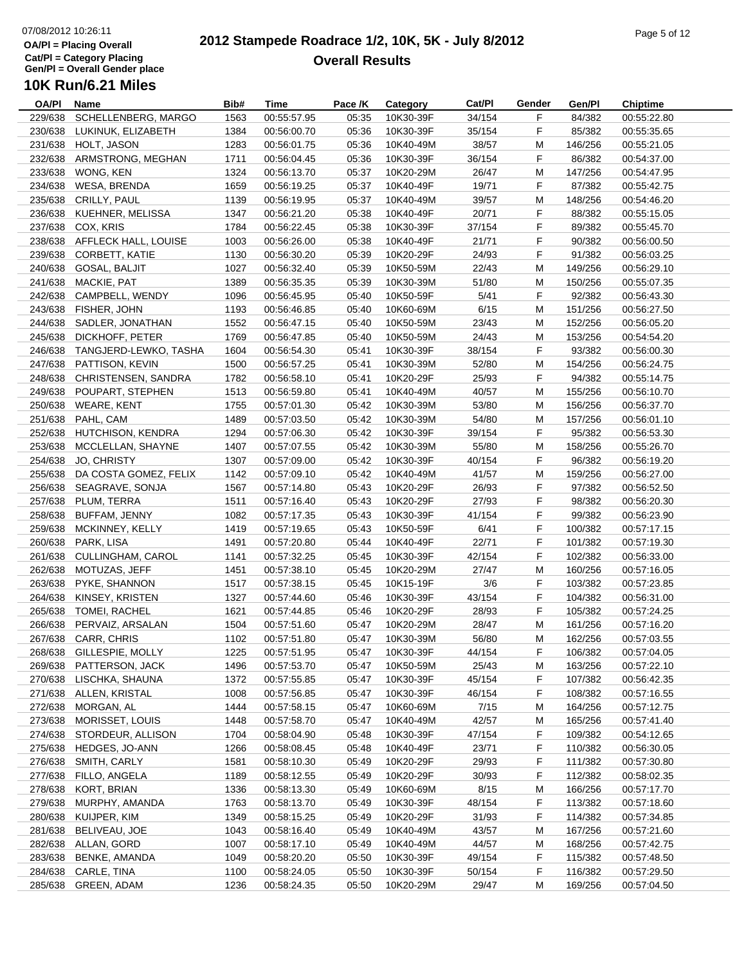#### **2012 Stampede Roadrace 1/2, 10K, 5K - July 8/2012**  $\frac{1}{2}$  Page 5 of 12 **Overall Results**

| OA/PI   | Name                         | Bib# | <b>Time</b>                | Pace /K | Category  | Cat/Pl | Gender | Gen/Pl  | <b>Chiptime</b> |
|---------|------------------------------|------|----------------------------|---------|-----------|--------|--------|---------|-----------------|
| 229/638 | SCHELLENBERG, MARGO          | 1563 | 00:55:57.95                | 05:35   | 10K30-39F | 34/154 | F      | 84/382  | 00:55:22.80     |
| 230/638 | LUKINUK, ELIZABETH           | 1384 | 00:56:00.70                | 05:36   | 10K30-39F | 35/154 | F      | 85/382  | 00:55:35.65     |
| 231/638 | HOLT, JASON                  | 1283 | 00:56:01.75                | 05:36   | 10K40-49M | 38/57  | M      | 146/256 | 00:55:21.05     |
| 232/638 | ARMSTRONG, MEGHAN            | 1711 | 00:56:04.45                | 05:36   | 10K30-39F | 36/154 | F      | 86/382  | 00:54:37.00     |
| 233/638 | WONG, KEN                    | 1324 | 00:56:13.70                | 05:37   | 10K20-29M | 26/47  | М      | 147/256 | 00:54:47.95     |
| 234/638 | <b>WESA, BRENDA</b>          | 1659 | 00:56:19.25                | 05:37   | 10K40-49F | 19/71  | F      | 87/382  | 00:55:42.75     |
| 235/638 | CRILLY, PAUL                 | 1139 | 00:56:19.95                | 05:37   | 10K40-49M | 39/57  | M      | 148/256 | 00:54:46.20     |
| 236/638 | KUEHNER, MELISSA             | 1347 | 00:56:21.20                | 05:38   | 10K40-49F | 20/71  | F      | 88/382  | 00:55:15.05     |
| 237/638 | COX, KRIS                    | 1784 | 00:56:22.45                | 05:38   | 10K30-39F | 37/154 | F      | 89/382  | 00:55:45.70     |
|         | 238/638 AFFLECK HALL, LOUISE | 1003 | 00:56:26.00                | 05:38   | 10K40-49F | 21/71  | F      | 90/382  | 00:56:00.50     |
| 239/638 | <b>CORBETT, KATIE</b>        | 1130 | 00:56:30.20                | 05:39   | 10K20-29F | 24/93  | F      | 91/382  | 00:56:03.25     |
| 240/638 | GOSAL, BALJIT                | 1027 | 00:56:32.40                | 05:39   | 10K50-59M | 22/43  | M      | 149/256 | 00:56:29.10     |
| 241/638 | MACKIE, PAT                  | 1389 | 00:56:35.35                | 05:39   | 10K30-39M | 51/80  | М      | 150/256 | 00:55:07.35     |
| 242/638 | CAMPBELL, WENDY              | 1096 | 00:56:45.95                | 05:40   | 10K50-59F | 5/41   | F      | 92/382  | 00:56:43.30     |
| 243/638 | FISHER, JOHN                 | 1193 | 00:56:46.85                | 05:40   | 10K60-69M | 6/15   | M      | 151/256 | 00:56:27.50     |
| 244/638 | SADLER, JONATHAN             | 1552 | 00:56:47.15                | 05:40   | 10K50-59M | 23/43  | M      | 152/256 | 00:56:05.20     |
| 245/638 | DICKHOFF, PETER              | 1769 | 00:56:47.85                | 05:40   | 10K50-59M | 24/43  | M      | 153/256 | 00:54:54.20     |
| 246/638 | TANGJERD-LEWKO, TASHA        |      |                            |         |           |        | F      | 93/382  |                 |
|         |                              | 1604 | 00:56:54.30                | 05:41   | 10K30-39F | 38/154 |        |         | 00:56:00.30     |
| 247/638 | PATTISON, KEVIN              | 1500 | 00:56:57.25                | 05:41   | 10K30-39M | 52/80  | М      | 154/256 | 00:56:24.75     |
| 248/638 | CHRISTENSEN, SANDRA          | 1782 | 00:56:58.10                | 05:41   | 10K20-29F | 25/93  | F      | 94/382  | 00:55:14.75     |
| 249/638 | POUPART, STEPHEN             | 1513 | 00:56:59.80                | 05:41   | 10K40-49M | 40/57  | M      | 155/256 | 00:56:10.70     |
| 250/638 | <b>WEARE, KENT</b>           | 1755 | 00:57:01.30                | 05:42   | 10K30-39M | 53/80  | M      | 156/256 | 00:56:37.70     |
| 251/638 | PAHL, CAM                    | 1489 | 00:57:03.50                | 05:42   | 10K30-39M | 54/80  | M      | 157/256 | 00:56:01.10     |
| 252/638 | HUTCHISON, KENDRA            | 1294 | 00:57:06.30                | 05:42   | 10K30-39F | 39/154 | F      | 95/382  | 00:56:53.30     |
| 253/638 | MCCLELLAN, SHAYNE            | 1407 | 00:57:07.55                | 05:42   | 10K30-39M | 55/80  | M      | 158/256 | 00:55:26.70     |
| 254/638 | JO, CHRISTY                  | 1307 | 00:57:09.00                | 05:42   | 10K30-39F | 40/154 | F      | 96/382  | 00:56:19.20     |
| 255/638 | DA COSTA GOMEZ, FELIX        | 1142 | 00:57:09.10                | 05:42   | 10K40-49M | 41/57  | M      | 159/256 | 00:56:27.00     |
| 256/638 | SEAGRAVE, SONJA              | 1567 | 00:57:14.80                | 05:43   | 10K20-29F | 26/93  | F      | 97/382  | 00:56:52.50     |
| 257/638 | PLUM, TERRA                  | 1511 | 00:57:16.40                | 05:43   | 10K20-29F | 27/93  | F      | 98/382  | 00:56:20.30     |
| 258/638 | BUFFAM, JENNY                | 1082 | 00:57:17.35                | 05:43   | 10K30-39F | 41/154 | F      | 99/382  | 00:56:23.90     |
| 259/638 | MCKINNEY, KELLY              | 1419 | 00:57:19.65                | 05:43   | 10K50-59F | 6/41   | F      | 100/382 | 00:57:17.15     |
| 260/638 | PARK, LISA                   | 1491 | 00:57:20.80                | 05:44   | 10K40-49F | 22/71  | F      | 101/382 | 00:57:19.30     |
| 261/638 | CULLINGHAM, CAROL            | 1141 | 00:57:32.25                | 05:45   | 10K30-39F | 42/154 | F      | 102/382 | 00:56:33.00     |
| 262/638 | MOTUZAS, JEFF                | 1451 | 00:57:38.10                | 05:45   | 10K20-29M | 27/47  | М      | 160/256 | 00:57:16.05     |
| 263/638 | PYKE, SHANNON                | 1517 | 00:57:38.15                | 05:45   | 10K15-19F | 3/6    | F      | 103/382 | 00:57:23.85     |
| 264/638 | KINSEY, KRISTEN              | 1327 | 00:57:44.60                | 05:46   | 10K30-39F | 43/154 | F      | 104/382 | 00:56:31.00     |
| 265/638 | TOMEI, RACHEL                | 1621 | 00:57:44.85                | 05:46   | 10K20-29F | 28/93  | F      | 105/382 | 00:57:24.25     |
| 266/638 | PERVAIZ, ARSALAN             | 1504 | 00:57:51.60                | 05:47   | 10K20-29M | 28/47  | M      | 161/256 | 00:57:16.20     |
| 267/638 | CARR, CHRIS                  | 1102 | 00:57:51.80                | 05:47   | 10K30-39M | 56/80  | М      | 162/256 | 00:57:03.55     |
| 268/638 | GILLESPIE, MOLLY             | 1225 | 00:57:51.95                | 05:47   | 10K30-39F | 44/154 | F      | 106/382 | 00:57:04.05     |
| 269/638 | PATTERSON, JACK              | 1496 | 00:57:53.70                | 05:47   | 10K50-59M | 25/43  | M      | 163/256 | 00:57:22.10     |
| 270/638 | LISCHKA, SHAUNA              | 1372 | 00:57:55.85                | 05:47   | 10K30-39F | 45/154 | F      | 107/382 | 00:56:42.35     |
| 271/638 | ALLEN, KRISTAL               | 1008 | 00:57:56.85                | 05:47   | 10K30-39F | 46/154 | F      | 108/382 | 00:57:16.55     |
| 272/638 | MORGAN, AL                   | 1444 | 00:57:58.15                | 05:47   | 10K60-69M | 7/15   | M      | 164/256 | 00:57:12.75     |
| 273/638 | MORISSET, LOUIS              | 1448 | 00:57:58.70                | 05:47   | 10K40-49M | 42/57  | M      | 165/256 | 00:57:41.40     |
| 274/638 | STORDEUR, ALLISON            | 1704 | 00:58:04.90                | 05:48   | 10K30-39F | 47/154 | F      | 109/382 | 00:54:12.65     |
| 275/638 | HEDGES, JO-ANN               | 1266 | 00:58:08.45                | 05:48   | 10K40-49F | 23/71  | F      | 110/382 | 00:56:30.05     |
| 276/638 | SMITH, CARLY                 | 1581 | 00:58:10.30                | 05:49   | 10K20-29F | 29/93  | F      | 111/382 | 00:57:30.80     |
| 277/638 | FILLO, ANGELA                | 1189 | 00:58:12.55                | 05:49   | 10K20-29F | 30/93  | F      | 112/382 | 00:58:02.35     |
| 278/638 | KORT, BRIAN                  | 1336 | 00:58:13.30                | 05:49   | 10K60-69M | 8/15   | M      | 166/256 | 00:57:17.70     |
| 279/638 | MURPHY, AMANDA               | 1763 | 00:58:13.70                | 05:49   | 10K30-39F | 48/154 | F      | 113/382 | 00:57:18.60     |
| 280/638 | KUIJPER, KIM                 |      |                            | 05:49   | 10K20-29F | 31/93  | F      | 114/382 | 00:57:34.85     |
| 281/638 | BELIVEAU, JOE                | 1349 | 00:58:15.25<br>00:58:16.40 | 05:49   | 10K40-49M | 43/57  |        | 167/256 | 00:57:21.60     |
|         |                              | 1043 |                            |         |           |        | M      |         |                 |
| 282/638 | ALLAN, GORD                  | 1007 | 00:58:17.10                | 05:49   | 10K40-49M | 44/57  | M      | 168/256 | 00:57:42.75     |
| 283/638 | <b>BENKE, AMANDA</b>         | 1049 | 00:58:20.20                | 05:50   | 10K30-39F | 49/154 | F      | 115/382 | 00:57:48.50     |
| 284/638 | CARLE, TINA                  | 1100 | 00:58:24.05                | 05:50   | 10K30-39F | 50/154 | F      | 116/382 | 00:57:29.50     |
| 285/638 | <b>GREEN, ADAM</b>           | 1236 | 00:58:24.35                | 05:50   | 10K20-29M | 29/47  | M      | 169/256 | 00:57:04.50     |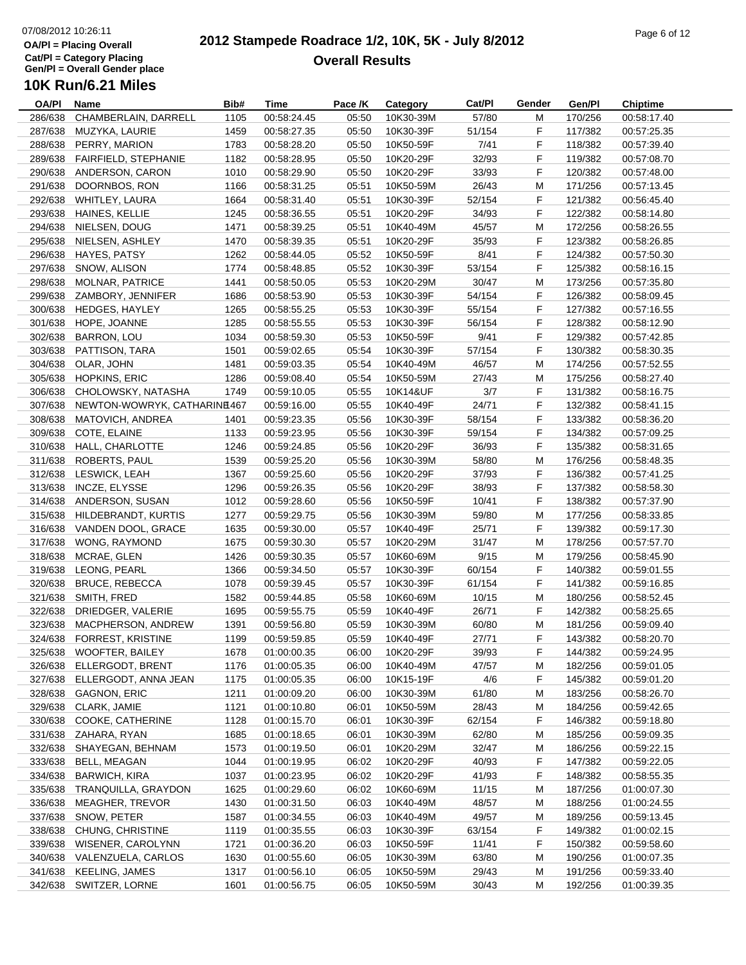#### **2012 Stampede Roadrace 1/2, 10K, 5K - July 8/2012**  $P_1$  and  $P_2$  of  $P_3$  of  $P_4$  of  $P_5$  of  $P_6$  of  $P_7$  of  $P_8$  of  $P_7$  of  $P_8$  of  $P_9$  of  $P_9$  of  $P_9$  of  $P_9$  of  $P_9$  of  $P_9$  of  $P_9$  of  $P_9$  of  $P_9$  of  $P_9$  of  $P_9$  of  $P_9$  of  $P_9$  of  $P_9$  of  $P_9$ **Overall Results**

**Name Bib# Time Category Cat/Pl Gen/Pl Chiptime**

## **10K Run/6.21 Miles**

| OA/PI   | Name                        | Bib# | <b>Time</b> | Pace /K | Category  | Cat/Pl | Gender | Gen/Pl  | <b>Chiptime</b> |
|---------|-----------------------------|------|-------------|---------|-----------|--------|--------|---------|-----------------|
| 286/638 | CHAMBERLAIN, DARRELL        | 1105 | 00:58:24.45 | 05:50   | 10K30-39M | 57/80  | М      | 170/256 | 00:58:17.40     |
| 287/638 | MUZYKA, LAURIE              | 1459 | 00:58:27.35 | 05:50   | 10K30-39F | 51/154 | F      | 117/382 | 00:57:25.35     |
| 288/638 | PERRY, MARION               | 1783 | 00:58:28.20 | 05:50   | 10K50-59F | 7/41   | F      | 118/382 | 00:57:39.40     |
| 289/638 | <b>FAIRFIELD, STEPHANIE</b> | 1182 | 00:58:28.95 | 05:50   | 10K20-29F | 32/93  | F      | 119/382 | 00:57:08.70     |
| 290/638 | ANDERSON, CARON             | 1010 | 00:58:29.90 | 05:50   | 10K20-29F | 33/93  | F      | 120/382 | 00:57:48.00     |
| 291/638 | DOORNBOS, RON               | 1166 | 00:58:31.25 | 05:51   | 10K50-59M | 26/43  | M      | 171/256 | 00:57:13.45     |
| 292/638 | WHITLEY, LAURA              | 1664 | 00:58:31.40 | 05:51   | 10K30-39F | 52/154 | F      | 121/382 | 00:56:45.40     |
| 293/638 | HAINES, KELLIE              | 1245 | 00:58:36.55 | 05:51   | 10K20-29F | 34/93  | F      | 122/382 | 00:58:14.80     |
| 294/638 | NIELSEN, DOUG               | 1471 | 00:58:39.25 | 05:51   | 10K40-49M | 45/57  | M      | 172/256 | 00:58:26.55     |
| 295/638 | NIELSEN, ASHLEY             | 1470 | 00:58:39.35 | 05:51   | 10K20-29F | 35/93  | F      | 123/382 | 00:58:26.85     |
| 296/638 | HAYES, PATSY                | 1262 | 00:58:44.05 | 05:52   | 10K50-59F | 8/41   | F      | 124/382 |                 |
|         |                             |      |             |         |           |        |        |         | 00:57:50.30     |
| 297/638 | SNOW, ALISON                | 1774 | 00:58:48.85 | 05:52   | 10K30-39F | 53/154 | F      | 125/382 | 00:58:16.15     |
| 298/638 | <b>MOLNAR, PATRICE</b>      | 1441 | 00:58:50.05 | 05:53   | 10K20-29M | 30/47  | м      | 173/256 | 00:57:35.80     |
| 299/638 | ZAMBORY, JENNIFER           | 1686 | 00:58:53.90 | 05:53   | 10K30-39F | 54/154 | F      | 126/382 | 00:58:09.45     |
| 300/638 | <b>HEDGES, HAYLEY</b>       | 1265 | 00:58:55.25 | 05:53   | 10K30-39F | 55/154 | F      | 127/382 | 00:57:16.55     |
| 301/638 | HOPE, JOANNE                | 1285 | 00:58:55.55 | 05:53   | 10K30-39F | 56/154 | F      | 128/382 | 00:58:12.90     |
| 302/638 | <b>BARRON, LOU</b>          | 1034 | 00:58:59.30 | 05:53   | 10K50-59F | 9/41   | F      | 129/382 | 00:57:42.85     |
| 303/638 | PATTISON, TARA              | 1501 | 00:59:02.65 | 05:54   | 10K30-39F | 57/154 | F      | 130/382 | 00:58:30.35     |
|         | 304/638 OLAR, JOHN          | 1481 | 00:59:03.35 | 05:54   | 10K40-49M | 46/57  | M      | 174/256 | 00:57:52.55     |
| 305/638 | HOPKINS, ERIC               | 1286 | 00:59:08.40 | 05:54   | 10K50-59M | 27/43  | M      | 175/256 | 00:58:27.40     |
| 306/638 | CHOLOWSKY, NATASHA          | 1749 | 00:59:10.05 | 05:55   | 10K14&UF  | 3/7    | F      | 131/382 | 00:58:16.75     |
| 307/638 | NEWTON-WOWRYK, CATHARINE467 |      | 00:59:16.00 | 05:55   | 10K40-49F | 24/71  | F      | 132/382 | 00:58:41.15     |
| 308/638 | MATOVICH, ANDREA            | 1401 | 00:59:23.35 | 05:56   | 10K30-39F | 58/154 | F      | 133/382 | 00:58:36.20     |
| 309/638 | COTE, ELAINE                | 1133 | 00:59:23.95 | 05:56   | 10K30-39F | 59/154 | F      | 134/382 | 00:57:09.25     |
| 310/638 | HALL, CHARLOTTE             | 1246 | 00:59:24.85 | 05:56   | 10K20-29F | 36/93  | F      | 135/382 | 00:58:31.65     |
| 311/638 | ROBERTS, PAUL               | 1539 | 00:59:25.20 | 05:56   | 10K30-39M | 58/80  | М      | 176/256 | 00:58:48.35     |
| 312/638 | LESWICK, LEAH               | 1367 | 00:59:25.60 | 05:56   | 10K20-29F | 37/93  | F      | 136/382 | 00:57:41.25     |
| 313/638 | INCZE, ELYSSE               | 1296 | 00:59:26.35 | 05:56   | 10K20-29F | 38/93  | F      | 137/382 | 00:58:58.30     |
| 314/638 | ANDERSON, SUSAN             | 1012 | 00:59:28.60 | 05:56   | 10K50-59F | 10/41  | F      | 138/382 | 00:57:37.90     |
|         |                             |      |             |         |           |        |        |         |                 |
| 315/638 | HILDEBRANDT, KURTIS         | 1277 | 00:59:29.75 | 05:56   | 10K30-39M | 59/80  | M      | 177/256 | 00:58:33.85     |
| 316/638 | VANDEN DOOL, GRACE          | 1635 | 00:59:30.00 | 05:57   | 10K40-49F | 25/71  | F      | 139/382 | 00:59:17.30     |
| 317/638 | WONG, RAYMOND               | 1675 | 00:59:30.30 | 05:57   | 10K20-29M | 31/47  | M      | 178/256 | 00:57:57.70     |
| 318/638 | MCRAE, GLEN                 | 1426 | 00:59:30.35 | 05:57   | 10K60-69M | 9/15   | M      | 179/256 | 00:58:45.90     |
| 319/638 | LEONG, PEARL                | 1366 | 00:59:34.50 | 05:57   | 10K30-39F | 60/154 | F      | 140/382 | 00:59:01.55     |
| 320/638 | <b>BRUCE, REBECCA</b>       | 1078 | 00:59:39.45 | 05:57   | 10K30-39F | 61/154 | F      | 141/382 | 00:59:16.85     |
| 321/638 | SMITH, FRED                 | 1582 | 00:59:44.85 | 05:58   | 10K60-69M | 10/15  | M      | 180/256 | 00:58:52.45     |
| 322/638 | DRIEDGER, VALERIE           | 1695 | 00:59:55.75 | 05:59   | 10K40-49F | 26/71  | F      | 142/382 | 00:58:25.65     |
| 323/638 | MACPHERSON, ANDREW          | 1391 | 00:59:56.80 | 05:59   | 10K30-39M | 60/80  | M      | 181/256 | 00:59:09.40     |
| 324/638 | <b>FORREST, KRISTINE</b>    | 1199 | 00:59:59.85 | 05:59   | 10K40-49F | 27/71  | F      | 143/382 | 00:58:20.70     |
|         | 325/638 WOOFTER, BAILEY     | 1678 | 01:00:00.35 | 06:00   | 10K20-29F | 39/93  | F      | 144/382 | 00:59:24.95     |
| 326/638 | ELLERGODT, BRENT            | 1176 | 01:00:05.35 | 06:00   | 10K40-49M | 47/57  | M      | 182/256 | 00:59:01.05     |
| 327/638 | ELLERGODT, ANNA JEAN        | 1175 | 01:00:05.35 | 06:00   | 10K15-19F | 4/6    | F      | 145/382 | 00:59:01.20     |
| 328/638 | <b>GAGNON, ERIC</b>         | 1211 | 01:00:09.20 | 06:00   | 10K30-39M | 61/80  | M      | 183/256 | 00:58:26.70     |
| 329/638 | CLARK, JAMIE                | 1121 | 01:00:10.80 | 06:01   | 10K50-59M | 28/43  | M      | 184/256 | 00:59:42.65     |
| 330/638 | COOKE, CATHERINE            | 1128 | 01:00:15.70 | 06:01   | 10K30-39F | 62/154 | F.     | 146/382 | 00:59:18.80     |
| 331/638 | ZAHARA, RYAN                | 1685 | 01:00:18.65 | 06:01   | 10K30-39M | 62/80  | M      | 185/256 | 00:59:09.35     |
| 332/638 | SHAYEGAN, BEHNAM            | 1573 | 01:00:19.50 | 06:01   | 10K20-29M | 32/47  | M      | 186/256 | 00:59:22.15     |
| 333/638 | <b>BELL, MEAGAN</b>         | 1044 | 01:00:19.95 | 06:02   | 10K20-29F | 40/93  | F      | 147/382 | 00:59:22.05     |
| 334/638 | <b>BARWICH, KIRA</b>        | 1037 | 01:00:23.95 | 06:02   | 10K20-29F | 41/93  | F      | 148/382 | 00:58:55.35     |
| 335/638 | TRANQUILLA, GRAYDON         | 1625 | 01:00:29.60 | 06:02   | 10K60-69M | 11/15  | M      | 187/256 | 01:00:07.30     |
| 336/638 | <b>MEAGHER, TREVOR</b>      |      |             | 06:03   | 10K40-49M | 48/57  |        |         |                 |
|         |                             | 1430 | 01:00:31.50 |         |           |        | M      | 188/256 | 01:00:24.55     |
| 337/638 | SNOW, PETER                 | 1587 | 01:00:34.55 | 06:03   | 10K40-49M | 49/57  | M      | 189/256 | 00:59:13.45     |
| 338/638 | CHUNG, CHRISTINE            | 1119 | 01:00:35.55 | 06:03   | 10K30-39F | 63/154 | F.     | 149/382 | 01:00:02.15     |
| 339/638 | WISENER, CAROLYNN           | 1721 | 01:00:36.20 | 06:03   | 10K50-59F | 11/41  | F      | 150/382 | 00:59:58.60     |
| 340/638 | VALENZUELA, CARLOS          | 1630 | 01:00:55.60 | 06:05   | 10K30-39M | 63/80  | M      | 190/256 | 01:00:07.35     |
| 341/638 | <b>KEELING, JAMES</b>       | 1317 | 01:00:56.10 | 06:05   | 10K50-59M | 29/43  | M      | 191/256 | 00:59:33.40     |
|         | 342/638 SWITZER, LORNE      | 1601 | 01:00:56.75 | 06:05   | 10K50-59M | 30/43  | M      | 192/256 | 01:00:39.35     |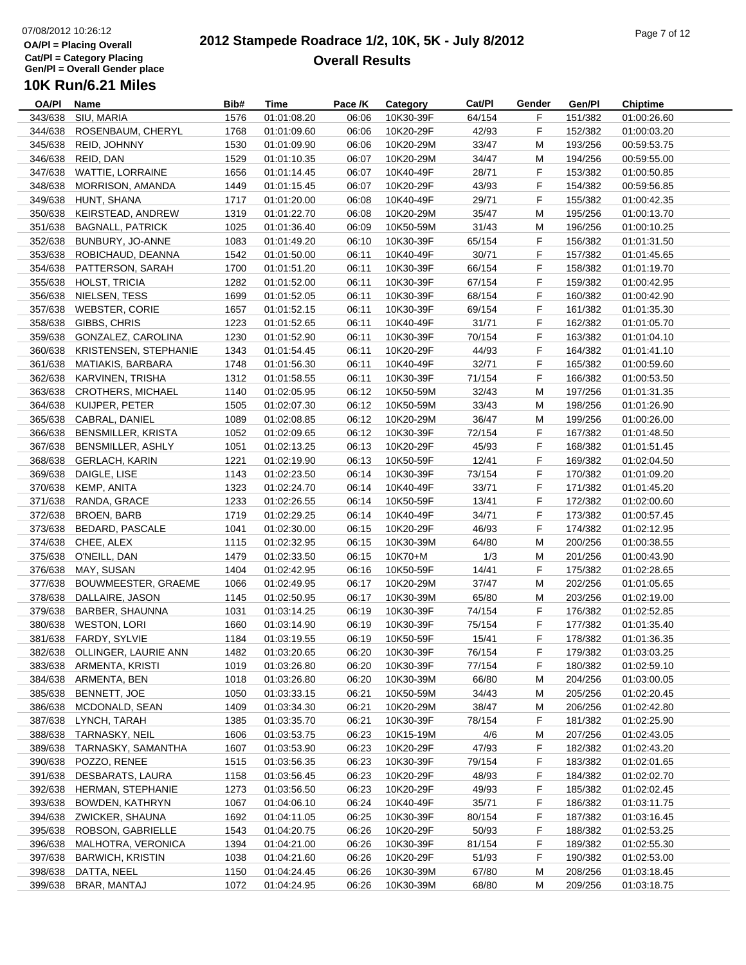#### **2012 Stampede Roadrace 1/2, 10K, 5K - July 8/2012**  $P_1$  of  $P_2$  of  $P_3$  of  $P_4$  of  $P_5$  of  $P_5$  of  $P_6$  of  $P_7$  of  $P_8$  of  $P_7$  of  $P_8$  of  $P_9$  of  $P_9$  of  $P_9$  of  $P_9$  of  $P_9$  of  $P_9$  of  $P_9$  of  $P_9$  of  $P_9$  of  $P_9$  of  $P_9$  of  $P_9$  of  $P_9$  of  $P_9$ **Overall Results**

| <b>OA/PI</b> | <b>Name</b>                  | Bib# | Time        | Pace /K | Category  | Cat/Pl | Gender | Gen/Pl  | <b>Chiptime</b> |
|--------------|------------------------------|------|-------------|---------|-----------|--------|--------|---------|-----------------|
| 343/638      | SIU, MARIA                   | 1576 | 01:01:08.20 | 06:06   | 10K30-39F | 64/154 | F      | 151/382 | 01:00:26.60     |
| 344/638      | ROSENBAUM, CHERYL            | 1768 | 01:01:09.60 | 06:06   | 10K20-29F | 42/93  | F      | 152/382 | 01:00:03.20     |
| 345/638      | REID, JOHNNY                 | 1530 | 01:01:09.90 | 06:06   | 10K20-29M | 33/47  | M      | 193/256 | 00:59:53.75     |
| 346/638      | REID, DAN                    | 1529 | 01:01:10.35 | 06:07   | 10K20-29M | 34/47  | M      | 194/256 | 00:59:55.00     |
| 347/638      | WATTIE, LORRAINE             | 1656 | 01:01:14.45 | 06:07   | 10K40-49F | 28/71  | F      | 153/382 | 01:00:50.85     |
| 348/638      | MORRISON, AMANDA             | 1449 | 01:01:15.45 | 06:07   | 10K20-29F | 43/93  | F      | 154/382 | 00:59:56.85     |
| 349/638      | HUNT, SHANA                  | 1717 | 01:01:20.00 | 06:08   | 10K40-49F | 29/71  | F      | 155/382 | 01:00:42.35     |
| 350/638      | KEIRSTEAD, ANDREW            | 1319 | 01:01:22.70 | 06:08   | 10K20-29M | 35/47  | M      | 195/256 | 01:00:13.70     |
| 351/638      | <b>BAGNALL, PATRICK</b>      | 1025 | 01:01:36.40 | 06:09   | 10K50-59M | 31/43  | M      | 196/256 | 01:00:10.25     |
| 352/638      | BUNBURY, JO-ANNE             | 1083 | 01:01:49.20 | 06:10   | 10K30-39F | 65/154 | F      | 156/382 | 01:01:31.50     |
| 353/638      | ROBICHAUD, DEANNA            | 1542 | 01:01:50.00 | 06:11   | 10K40-49F | 30/71  | F      | 157/382 | 01:01:45.65     |
| 354/638      | PATTERSON, SARAH             | 1700 | 01:01:51.20 | 06:11   | 10K30-39F | 66/154 | F      | 158/382 | 01:01:19.70     |
| 355/638      | HOLST, TRICIA                | 1282 | 01:01:52.00 | 06:11   | 10K30-39F | 67/154 | F      | 159/382 | 01:00:42.95     |
| 356/638      | NIELSEN, TESS                | 1699 | 01:01:52.05 | 06:11   | 10K30-39F | 68/154 | F      | 160/382 | 01:00:42.90     |
| 357/638      | <b>WEBSTER, CORIE</b>        | 1657 | 01:01:52.15 | 06:11   | 10K30-39F | 69/154 | F      | 161/382 | 01:01:35.30     |
| 358/638      | GIBBS, CHRIS                 | 1223 | 01:01:52.65 | 06:11   | 10K40-49F | 31/71  | F      | 162/382 | 01:01:05.70     |
| 359/638      | GONZALEZ, CAROLINA           | 1230 | 01:01:52.90 | 06:11   | 10K30-39F | 70/154 | F      | 163/382 | 01:01:04.10     |
| 360/638      | KRISTENSEN, STEPHANIE        | 1343 | 01:01:54.45 | 06:11   | 10K20-29F | 44/93  | F      | 164/382 | 01:01:41.10     |
| 361/638      | <b>MATIAKIS, BARBARA</b>     | 1748 | 01:01:56.30 | 06:11   | 10K40-49F | 32/71  | F      | 165/382 | 01:00:59.60     |
| 362/638      | KARVINEN, TRISHA             | 1312 | 01:01:58.55 | 06:11   | 10K30-39F | 71/154 | F      | 166/382 | 01:00:53.50     |
| 363/638      | <b>CROTHERS, MICHAEL</b>     | 1140 | 01:02:05.95 | 06:12   | 10K50-59M | 32/43  | M      | 197/256 | 01:01:31.35     |
| 364/638      | KUIJPER, PETER               | 1505 | 01:02:07.30 | 06:12   | 10K50-59M | 33/43  | M      | 198/256 | 01:01:26.90     |
| 365/638      | CABRAL, DANIEL               |      |             |         | 10K20-29M |        |        |         |                 |
|              |                              | 1089 | 01:02:08.85 | 06:12   |           | 36/47  | M      | 199/256 | 01:00:26.00     |
| 366/638      | <b>BENSMILLER, KRISTA</b>    | 1052 | 01:02:09.65 | 06:12   | 10K30-39F | 72/154 | F      | 167/382 | 01:01:48.50     |
| 367/638      | BENSMILLER, ASHLY            | 1051 | 01:02:13.25 | 06:13   | 10K20-29F | 45/93  | F      | 168/382 | 01:01:51.45     |
| 368/638      | <b>GERLACH, KARIN</b>        | 1221 | 01:02:19.90 | 06:13   | 10K50-59F | 12/41  | F      | 169/382 | 01:02:04.50     |
| 369/638      | DAIGLE, LISE                 | 1143 | 01:02:23.50 | 06:14   | 10K30-39F | 73/154 | F      | 170/382 | 01:01:09.20     |
| 370/638      | KEMP, ANITA                  | 1323 | 01:02:24.70 | 06:14   | 10K40-49F | 33/71  | F      | 171/382 | 01:01:45.20     |
| 371/638      | RANDA, GRACE                 | 1233 | 01:02:26.55 | 06:14   | 10K50-59F | 13/41  | F      | 172/382 | 01:02:00.60     |
| 372/638      | <b>BROEN, BARB</b>           | 1719 | 01:02:29.25 | 06:14   | 10K40-49F | 34/71  | F      | 173/382 | 01:00:57.45     |
| 373/638      | <b>BEDARD, PASCALE</b>       | 1041 | 01:02:30.00 | 06:15   | 10K20-29F | 46/93  | F      | 174/382 | 01:02:12.95     |
| 374/638      | CHEE, ALEX                   | 1115 | 01:02:32.95 | 06:15   | 10K30-39M | 64/80  | M      | 200/256 | 01:00:38.55     |
| 375/638      | O'NEILL, DAN                 | 1479 | 01:02:33.50 | 06:15   | 10K70+M   | 1/3    | M      | 201/256 | 01:00:43.90     |
| 376/638      | MAY, SUSAN                   | 1404 | 01:02:42.95 | 06:16   | 10K50-59F | 14/41  | F      | 175/382 | 01:02:28.65     |
| 377/638      | BOUWMEESTER, GRAEME          | 1066 | 01:02:49.95 | 06:17   | 10K20-29M | 37/47  | M      | 202/256 | 01:01:05.65     |
| 378/638      | DALLAIRE, JASON              | 1145 | 01:02:50.95 | 06:17   | 10K30-39M | 65/80  | M      | 203/256 | 01:02:19.00     |
| 379/638      | BARBER, SHAUNNA              | 1031 | 01:03:14.25 | 06:19   | 10K30-39F | 74/154 | F      | 176/382 | 01:02:52.85     |
| 380/638      | <b>WESTON, LORI</b>          | 1660 | 01:03:14.90 | 06:19   | 10K30-39F | 75/154 | F      | 177/382 | 01:01:35.40     |
| 381/638      | FARDY, SYLVIE                | 1184 | 01:03:19.55 | 06:19   | 10K50-59F | 15/41  | F      | 178/382 | 01:01:36.35     |
|              | 382/638 OLLINGER, LAURIE ANN | 1482 | 01:03:20.65 | 06:20   | 10K30-39F | 76/154 | F      | 179/382 | 01:03:03.25     |
| 383/638      | ARMENTA, KRISTI              | 1019 | 01:03:26.80 | 06:20   | 10K30-39F | 77/154 | F      | 180/382 | 01:02:59.10     |
| 384/638      | ARMENTA, BEN                 | 1018 | 01:03:26.80 | 06:20   | 10K30-39M | 66/80  | M      | 204/256 | 01:03:00.05     |
| 385/638      | BENNETT, JOE                 | 1050 | 01:03:33.15 | 06:21   | 10K50-59M | 34/43  | M      | 205/256 | 01:02:20.45     |
| 386/638      | MCDONALD, SEAN               | 1409 | 01:03:34.30 | 06:21   | 10K20-29M | 38/47  | M      | 206/256 | 01:02:42.80     |
| 387/638      | LYNCH, TARAH                 | 1385 | 01:03:35.70 | 06:21   | 10K30-39F | 78/154 | F      | 181/382 | 01:02:25.90     |
| 388/638      | TARNASKY, NEIL               | 1606 | 01:03:53.75 | 06:23   | 10K15-19M | 4/6    | M      | 207/256 | 01:02:43.05     |
| 389/638      | TARNASKY, SAMANTHA           | 1607 | 01:03:53.90 | 06:23   | 10K20-29F | 47/93  | F      | 182/382 | 01:02:43.20     |
| 390/638      | POZZO, RENEE                 | 1515 | 01:03:56.35 | 06:23   | 10K30-39F | 79/154 | F      | 183/382 | 01:02:01.65     |
| 391/638      | DESBARATS, LAURA             | 1158 | 01:03:56.45 | 06:23   | 10K20-29F | 48/93  | F      | 184/382 | 01:02:02.70     |
| 392/638      | HERMAN, STEPHANIE            | 1273 | 01:03:56.50 | 06:23   | 10K20-29F | 49/93  | F      | 185/382 | 01:02:02.45     |
| 393/638      | BOWDEN, KATHRYN              | 1067 | 01:04:06.10 | 06:24   | 10K40-49F | 35/71  | F      | 186/382 | 01:03:11.75     |
| 394/638      | ZWICKER, SHAUNA              | 1692 | 01:04:11.05 | 06:25   | 10K30-39F | 80/154 | F      | 187/382 | 01:03:16.45     |
| 395/638      | ROBSON, GABRIELLE            | 1543 | 01:04:20.75 | 06:26   | 10K20-29F | 50/93  | F      | 188/382 | 01:02:53.25     |
| 396/638      | MALHOTRA, VERONICA           | 1394 | 01:04:21.00 | 06:26   | 10K30-39F | 81/154 | F      | 189/382 | 01:02:55.30     |
| 397/638      | <b>BARWICH, KRISTIN</b>      | 1038 | 01:04:21.60 | 06:26   | 10K20-29F | 51/93  | F      | 190/382 | 01:02:53.00     |
| 398/638      | DATTA, NEEL                  | 1150 | 01:04:24.45 | 06:26   | 10K30-39M | 67/80  | M      | 208/256 | 01:03:18.45     |
| 399/638      | BRAR, MANTAJ                 | 1072 | 01:04:24.95 | 06:26   | 10K30-39M | 68/80  | M      | 209/256 | 01:03:18.75     |
|              |                              |      |             |         |           |        |        |         |                 |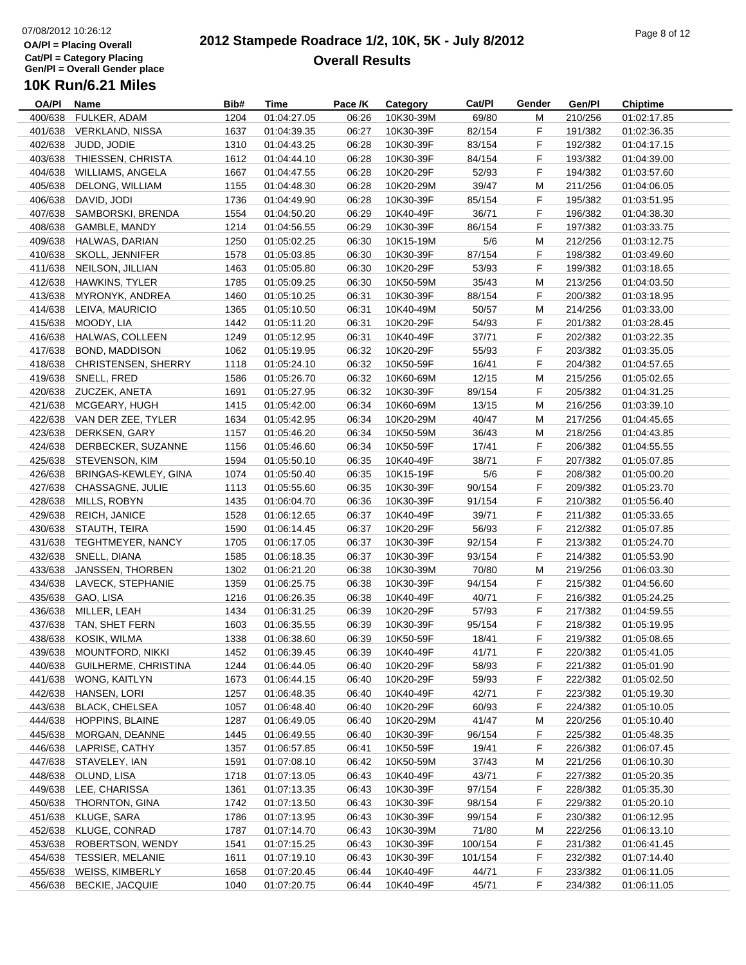#### **2012 Stampede Roadrace 1/2, 10K, 5K - July 8/2012**  $P_1$  and  $P_2$  of  $P_3$  of  $P_4$  or  $P_5$  of  $P_6$  or  $P_7$  or  $P_8$  or  $P_9$  or  $P_9$  or  $P_9$  or  $P_9$  or  $P_9$  or  $P_9$  or  $P_9$  or  $P_9$  or  $P_9$  or  $P_9$  or  $P_9$  or  $P_9$  or  $P_9$  or  $P_9$  or  $P_9$  or  $P_9$  or  $P_9$ **Overall Results**

**Name Bib# Time Category Cat/Pl Gen/Pl Chiptime**

## **10K Run/6.21 Miles**

| <b>OA/PI</b> | Name                        | Bib# | <b>Time</b> | Pace /K | Category  | Cat/Pl  | Gender | Gen/Pl  | Chiptime    |
|--------------|-----------------------------|------|-------------|---------|-----------|---------|--------|---------|-------------|
| 400/638      | FULKER, ADAM                | 1204 | 01:04:27.05 | 06:26   | 10K30-39M | 69/80   | М      | 210/256 | 01:02:17.85 |
| 401/638      | <b>VERKLAND, NISSA</b>      | 1637 | 01:04:39.35 | 06:27   | 10K30-39F | 82/154  | F      | 191/382 | 01:02:36.35 |
| 402/638      | JUDD, JODIE                 | 1310 | 01:04:43.25 | 06:28   | 10K30-39F | 83/154  | F      | 192/382 | 01:04:17.15 |
| 403/638      | THIESSEN, CHRISTA           | 1612 | 01:04:44.10 | 06:28   | 10K30-39F | 84/154  | F      | 193/382 | 01:04:39.00 |
| 404/638      | <b>WILLIAMS, ANGELA</b>     | 1667 | 01:04:47.55 | 06:28   | 10K20-29F | 52/93   | F      | 194/382 | 01:03:57.60 |
| 405/638      | DELONG, WILLIAM             | 1155 | 01:04:48.30 | 06:28   | 10K20-29M | 39/47   | M      | 211/256 | 01:04:06.05 |
| 406/638      | DAVID, JODI                 | 1736 | 01:04:49.90 | 06:28   | 10K30-39F | 85/154  | F      | 195/382 |             |
|              |                             |      |             |         |           |         |        |         | 01:03:51.95 |
| 407/638      | SAMBORSKI, BRENDA           | 1554 | 01:04:50.20 | 06:29   | 10K40-49F | 36/71   | F      | 196/382 | 01:04:38.30 |
| 408/638      | GAMBLE, MANDY               | 1214 | 01:04:56.55 | 06:29   | 10K30-39F | 86/154  | F      | 197/382 | 01:03:33.75 |
| 409/638      | HALWAS, DARIAN              | 1250 | 01:05:02.25 | 06:30   | 10K15-19M | 5/6     | M      | 212/256 | 01:03:12.75 |
|              | 410/638 SKOLL, JENNIFER     | 1578 | 01:05:03.85 | 06:30   | 10K30-39F | 87/154  | F      | 198/382 | 01:03:49.60 |
| 411/638      | NEILSON, JILLIAN            | 1463 | 01:05:05.80 | 06:30   | 10K20-29F | 53/93   | F      | 199/382 | 01:03:18.65 |
| 412/638      | HAWKINS, TYLER              | 1785 | 01:05:09.25 | 06:30   | 10K50-59M | 35/43   | М      | 213/256 | 01:04:03.50 |
| 413/638      | MYRONYK, ANDREA             | 1460 | 01:05:10.25 | 06:31   | 10K30-39F | 88/154  | F      | 200/382 | 01:03:18.95 |
| 414/638      | LEIVA, MAURICIO             | 1365 | 01:05:10.50 | 06:31   | 10K40-49M | 50/57   | М      | 214/256 | 01:03:33.00 |
| 415/638      | MOODY, LIA                  | 1442 | 01:05:11.20 | 06:31   | 10K20-29F | 54/93   | F      | 201/382 | 01:03:28.45 |
| 416/638      | HALWAS, COLLEEN             | 1249 | 01:05:12.95 | 06:31   | 10K40-49F | 37/71   | F      | 202/382 | 01:03:22.35 |
| 417/638      | <b>BOND, MADDISON</b>       | 1062 | 01:05:19.95 | 06:32   | 10K20-29F | 55/93   | F      | 203/382 | 01:03:35.05 |
| 418/638      | <b>CHRISTENSEN, SHERRY</b>  | 1118 | 01:05:24.10 | 06:32   | 10K50-59F | 16/41   | F      | 204/382 | 01:04:57.65 |
| 419/638      | SNELL, FRED                 | 1586 | 01:05:26.70 | 06:32   | 10K60-69M | 12/15   | M      | 215/256 | 01:05:02.65 |
| 420/638      | ZUCZEK, ANETA               | 1691 | 01:05:27.95 | 06:32   | 10K30-39F | 89/154  | F      | 205/382 | 01:04:31.25 |
|              |                             |      |             |         |           |         |        |         |             |
| 421/638      | MCGEARY, HUGH               | 1415 | 01:05:42.00 | 06:34   | 10K60-69M | 13/15   | M      | 216/256 | 01:03:39.10 |
|              | 422/638 VAN DER ZEE, TYLER  | 1634 | 01:05:42.95 | 06:34   | 10K20-29M | 40/47   | M      | 217/256 | 01:04:45.65 |
| 423/638      | DERKSEN, GARY               | 1157 | 01:05:46.20 | 06:34   | 10K50-59M | 36/43   | M      | 218/256 | 01:04:43.85 |
|              | 424/638 DERBECKER, SUZANNE  | 1156 | 01:05:46.60 | 06:34   | 10K50-59F | 17/41   | F      | 206/382 | 01:04:55.55 |
| 425/638      | STEVENSON, KIM              | 1594 | 01:05:50.10 | 06:35   | 10K40-49F | 38/71   | F      | 207/382 | 01:05:07.85 |
| 426/638      | BRINGAS-KEWLEY, GINA        | 1074 | 01:05:50.40 | 06:35   | 10K15-19F | 5/6     | F      | 208/382 | 01:05:00.20 |
| 427/638      | CHASSAGNE, JULIE            | 1113 | 01:05:55.60 | 06:35   | 10K30-39F | 90/154  | F      | 209/382 | 01:05:23.70 |
| 428/638      | MILLS, ROBYN                | 1435 | 01:06:04.70 | 06:36   | 10K30-39F | 91/154  | F      | 210/382 | 01:05:56.40 |
| 429/638      | <b>REICH, JANICE</b>        | 1528 | 01:06:12.65 | 06:37   | 10K40-49F | 39/71   | F      | 211/382 | 01:05:33.65 |
| 430/638      | STAUTH, TEIRA               | 1590 | 01:06:14.45 | 06:37   | 10K20-29F | 56/93   | F      | 212/382 | 01:05:07.85 |
| 431/638      | TEGHTMEYER, NANCY           | 1705 | 01:06:17.05 | 06:37   | 10K30-39F | 92/154  | F      | 213/382 | 01:05:24.70 |
| 432/638      | SNELL, DIANA                | 1585 | 01:06:18.35 | 06:37   | 10K30-39F | 93/154  | F      | 214/382 | 01:05:53.90 |
| 433/638      | JANSSEN, THORBEN            | 1302 | 01:06:21.20 | 06:38   | 10K30-39M | 70/80   | M      | 219/256 | 01:06:03.30 |
|              | 434/638 LAVECK, STEPHANIE   | 1359 | 01:06:25.75 | 06:38   | 10K30-39F | 94/154  | F      | 215/382 | 01:04:56.60 |
| 435/638      | GAO, LISA                   | 1216 | 01:06:26.35 | 06:38   | 10K40-49F | 40/71   | F      | 216/382 | 01:05:24.25 |
| 436/638      | MILLER, LEAH                | 1434 | 01:06:31.25 | 06:39   | 10K20-29F | 57/93   | F      | 217/382 | 01:04:59.55 |
|              |                             |      |             |         |           |         |        |         |             |
| 437/638      | TAN, SHET FERN              | 1603 | 01:06:35.55 | 06:39   | 10K30-39F | 95/154  | F      | 218/382 | 01:05:19.95 |
| 438/638      | KOSIK, WILMA                | 1338 | 01:06:38.60 | 06:39   | 10K50-59F | 18/41   | F      | 219/382 | 01:05:08.65 |
|              | 439/638 MOUNTFORD, NIKKI    | 1452 | 01:06:39.45 | 06:39   | 10K40-49F | 41/71   | F      | 220/382 | 01:05:41.05 |
| 440/638      | <b>GUILHERME, CHRISTINA</b> | 1244 | 01:06:44.05 | 06:40   | 10K20-29F | 58/93   | F      | 221/382 | 01:05:01.90 |
| 441/638      | WONG, KAITLYN               | 1673 | 01:06:44.15 | 06:40   | 10K20-29F | 59/93   | F      | 222/382 | 01:05:02.50 |
| 442/638      | HANSEN, LORI                | 1257 | 01:06:48.35 | 06:40   | 10K40-49F | 42/71   | F      | 223/382 | 01:05:19.30 |
| 443/638      | <b>BLACK, CHELSEA</b>       | 1057 | 01:06:48.40 | 06:40   | 10K20-29F | 60/93   | F      | 224/382 | 01:05:10.05 |
| 444/638      | <b>HOPPINS, BLAINE</b>      | 1287 | 01:06:49.05 | 06:40   | 10K20-29M | 41/47   | М      | 220/256 | 01:05:10.40 |
| 445/638      | MORGAN, DEANNE              | 1445 | 01:06:49.55 | 06:40   | 10K30-39F | 96/154  | F      | 225/382 | 01:05:48.35 |
| 446/638      | LAPRISE, CATHY              | 1357 | 01:06:57.85 | 06:41   | 10K50-59F | 19/41   | F      | 226/382 | 01:06:07.45 |
| 447/638      | STAVELEY, IAN               | 1591 | 01:07:08.10 | 06:42   | 10K50-59M | 37/43   | M      | 221/256 | 01:06:10.30 |
| 448/638      | OLUND, LISA                 | 1718 | 01:07:13.05 | 06:43   | 10K40-49F | 43/71   | F      | 227/382 | 01:05:20.35 |
| 449/638      | LEE, CHARISSA               | 1361 | 01:07:13.35 | 06:43   | 10K30-39F | 97/154  | F      | 228/382 | 01:05:35.30 |
| 450/638      | THORNTON, GINA              | 1742 | 01:07:13.50 | 06:43   | 10K30-39F | 98/154  | F.     | 229/382 | 01:05:20.10 |
| 451/638      | KLUGE, SARA                 | 1786 | 01:07:13.95 | 06:43   | 10K30-39F | 99/154  | F      | 230/382 | 01:06:12.95 |
|              |                             |      | 01:07:14.70 |         |           |         |        |         |             |
| 452/638      | KLUGE, CONRAD               | 1787 |             | 06:43   | 10K30-39M | 71/80   | М      | 222/256 | 01:06:13.10 |
| 453/638      | ROBERTSON, WENDY            | 1541 | 01:07:15.25 | 06:43   | 10K30-39F | 100/154 | F      | 231/382 | 01:06:41.45 |
| 454/638      | <b>TESSIER, MELANIE</b>     | 1611 | 01:07:19.10 | 06:43   | 10K30-39F | 101/154 | F      | 232/382 | 01:07:14.40 |
| 455/638      | WEISS, KIMBERLY             | 1658 | 01:07:20.45 | 06:44   | 10K40-49F | 44/71   | F      | 233/382 | 01:06:11.05 |
| 456/638      | <b>BECKIE, JACQUIE</b>      | 1040 | 01:07:20.75 | 06:44   | 10K40-49F | 45/71   | F.     | 234/382 | 01:06:11.05 |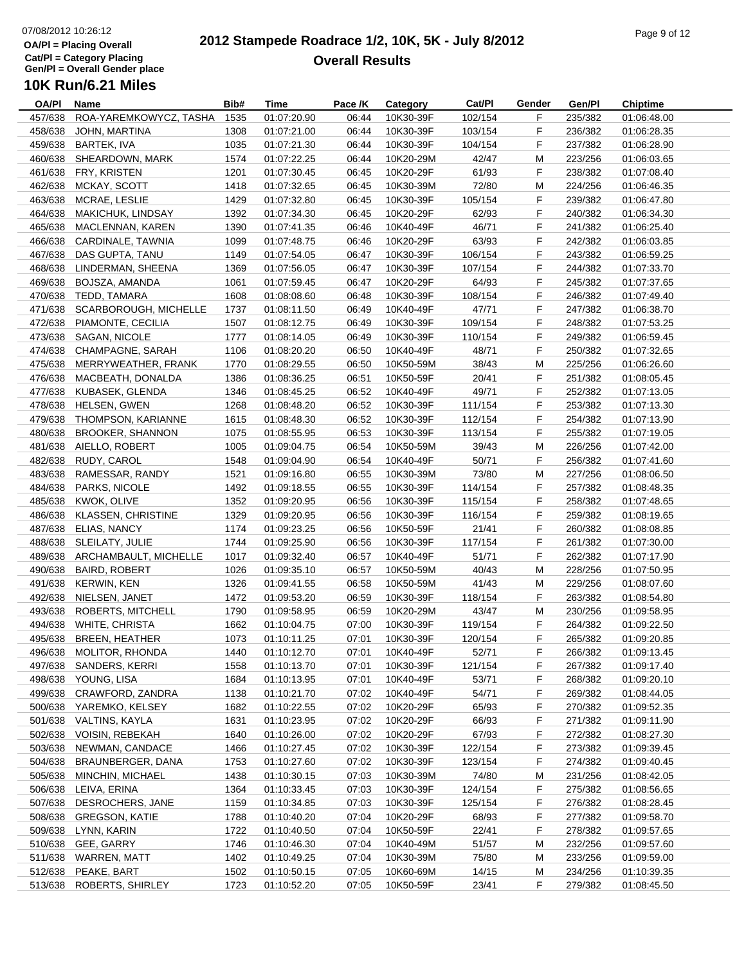#### **2012 Stampede Roadrace 1/2, 10K, 5K - July 8/2012**  $P_1$  of  $P_2$  of  $P_3$  of  $P_4$  of  $P_5$  of  $P_6$  of  $P_7$  of  $P_8$  of  $P_9$  of  $P_9$  of  $P_9$  of  $P_9$ **Overall Results**

| OA/PI   | Name                      | Bib# | <b>Time</b> | Pace /K | Category  | Cat/PI  | Gender | Gen/Pl  | <b>Chiptime</b> |
|---------|---------------------------|------|-------------|---------|-----------|---------|--------|---------|-----------------|
| 457/638 | ROA-YAREMKOWYCZ, TASHA    | 1535 | 01:07:20.90 | 06:44   | 10K30-39F | 102/154 | F      | 235/382 | 01:06:48.00     |
| 458/638 | JOHN, MARTINA             | 1308 | 01:07:21.00 | 06:44   | 10K30-39F | 103/154 | F      | 236/382 | 01:06:28.35     |
| 459/638 | BARTEK, IVA               | 1035 | 01:07:21.30 | 06:44   | 10K30-39F | 104/154 | F      | 237/382 | 01:06:28.90     |
| 460/638 | SHEARDOWN, MARK           | 1574 | 01:07:22.25 | 06:44   | 10K20-29M | 42/47   | M      | 223/256 | 01:06:03.65     |
| 461/638 | FRY, KRISTEN              | 1201 | 01:07:30.45 | 06:45   | 10K20-29F | 61/93   | F      | 238/382 | 01:07:08.40     |
| 462/638 | MCKAY, SCOTT              | 1418 | 01:07:32.65 | 06:45   | 10K30-39M | 72/80   | M      | 224/256 | 01:06:46.35     |
| 463/638 | MCRAE, LESLIE             | 1429 | 01:07:32.80 | 06:45   | 10K30-39F | 105/154 | F      | 239/382 | 01:06:47.80     |
| 464/638 | MAKICHUK, LINDSAY         | 1392 | 01:07:34.30 | 06:45   | 10K20-29F | 62/93   | F      | 240/382 | 01:06:34.30     |
| 465/638 | MACLENNAN, KAREN          | 1390 | 01:07:41.35 | 06:46   | 10K40-49F | 46/71   | F      | 241/382 | 01:06:25.40     |
| 466/638 | CARDINALE, TAWNIA         | 1099 | 01:07:48.75 | 06:46   | 10K20-29F | 63/93   | F      | 242/382 | 01:06:03.85     |
| 467/638 | DAS GUPTA, TANU           | 1149 | 01:07:54.05 | 06:47   | 10K30-39F | 106/154 | F      | 243/382 | 01:06:59.25     |
| 468/638 | LINDERMAN, SHEENA         | 1369 | 01:07:56.05 | 06:47   | 10K30-39F | 107/154 | F      | 244/382 | 01:07:33.70     |
| 469/638 | BOJSZA, AMANDA            | 1061 | 01:07:59.45 | 06:47   | 10K20-29F | 64/93   | F      | 245/382 | 01:07:37.65     |
| 470/638 | TEDD, TAMARA              | 1608 | 01:08:08.60 | 06:48   | 10K30-39F | 108/154 | F      | 246/382 | 01:07:49.40     |
| 471/638 | SCARBOROUGH, MICHELLE     | 1737 | 01:08:11.50 | 06:49   | 10K40-49F | 47/71   | F      | 247/382 | 01:06:38.70     |
| 472/638 | PIAMONTE, CECILIA         | 1507 | 01:08:12.75 | 06:49   | 10K30-39F | 109/154 | F      | 248/382 | 01:07:53.25     |
| 473/638 | SAGAN, NICOLE             | 1777 | 01:08:14.05 | 06:49   | 10K30-39F | 110/154 | F      | 249/382 | 01:06:59.45     |
| 474/638 | CHAMPAGNE, SARAH          | 1106 | 01:08:20.20 | 06:50   | 10K40-49F | 48/71   | F      | 250/382 | 01:07:32.65     |
|         | MERRYWEATHER, FRANK       |      |             | 06:50   |           |         |        | 225/256 |                 |
| 475/638 |                           | 1770 | 01:08:29.55 |         | 10K50-59M | 38/43   | M      |         | 01:06:26.60     |
| 476/638 | MACBEATH, DONALDA         | 1386 | 01:08:36.25 | 06:51   | 10K50-59F | 20/41   | F      | 251/382 | 01:08:05.45     |
| 477/638 | KUBASEK, GLENDA           | 1346 | 01:08:45.25 | 06:52   | 10K40-49F | 49/71   | F      | 252/382 | 01:07:13.05     |
| 478/638 | HELSEN, GWEN              | 1268 | 01:08:48.20 | 06:52   | 10K30-39F | 111/154 | F      | 253/382 | 01:07:13.30     |
| 479/638 | THOMPSON, KARIANNE        | 1615 | 01:08:48.30 | 06:52   | 10K30-39F | 112/154 | F      | 254/382 | 01:07:13.90     |
| 480/638 | <b>BROOKER, SHANNON</b>   | 1075 | 01:08:55.95 | 06:53   | 10K30-39F | 113/154 | F      | 255/382 | 01:07:19.05     |
| 481/638 | AIELLO, ROBERT            | 1005 | 01:09:04.75 | 06:54   | 10K50-59M | 39/43   | M      | 226/256 | 01:07:42.00     |
|         | 482/638 RUDY, CAROL       | 1548 | 01:09:04.90 | 06:54   | 10K40-49F | 50/71   | F      | 256/382 | 01:07:41.60     |
| 483/638 | RAMESSAR, RANDY           | 1521 | 01:09:16.80 | 06:55   | 10K30-39M | 73/80   | M      | 227/256 | 01:08:06.50     |
|         | 484/638 PARKS, NICOLE     | 1492 | 01:09:18.55 | 06:55   | 10K30-39F | 114/154 | F      | 257/382 | 01:08:48.35     |
| 485/638 | KWOK, OLIVE               | 1352 | 01:09:20.95 | 06:56   | 10K30-39F | 115/154 | F      | 258/382 | 01:07:48.65     |
| 486/638 | <b>KLASSEN, CHRISTINE</b> | 1329 | 01:09:20.95 | 06:56   | 10K30-39F | 116/154 | F      | 259/382 | 01:08:19.65     |
| 487/638 | ELIAS, NANCY              | 1174 | 01:09:23.25 | 06:56   | 10K50-59F | 21/41   | F      | 260/382 | 01:08:08.85     |
| 488/638 | SLEILATY, JULIE           | 1744 | 01:09:25.90 | 06:56   | 10K30-39F | 117/154 | F      | 261/382 | 01:07:30.00     |
| 489/638 | ARCHAMBAULT, MICHELLE     | 1017 | 01:09:32.40 | 06:57   | 10K40-49F | 51/71   | F      | 262/382 | 01:07:17.90     |
| 490/638 | <b>BAIRD, ROBERT</b>      | 1026 | 01:09:35.10 | 06:57   | 10K50-59M | 40/43   | M      | 228/256 | 01:07:50.95     |
| 491/638 | <b>KERWIN, KEN</b>        | 1326 | 01:09:41.55 | 06:58   | 10K50-59M | 41/43   | M      | 229/256 | 01:08:07.60     |
| 492/638 | NIELSEN, JANET            | 1472 | 01:09:53.20 | 06:59   | 10K30-39F | 118/154 | F      | 263/382 | 01:08:54.80     |
| 493/638 | ROBERTS, MITCHELL         | 1790 | 01:09:58.95 | 06:59   | 10K20-29M | 43/47   | М      | 230/256 | 01:09:58.95     |
| 494/638 | WHITE, CHRISTA            | 1662 | 01:10:04.75 | 07:00   | 10K30-39F | 119/154 | F      | 264/382 | 01:09:22.50     |
| 495/638 | <b>BREEN, HEATHER</b>     | 1073 | 01:10:11.25 | 07:01   | 10K30-39F | 120/154 | F      | 265/382 | 01:09:20.85     |
|         | 496/638 MOLITOR, RHONDA   | 1440 | 01:10:12.70 | 07:01   | 10K40-49F | 52/71   | F      | 266/382 | 01:09:13.45     |
| 497/638 | SANDERS, KERRI            | 1558 | 01:10:13.70 | 07:01   | 10K30-39F | 121/154 | F      | 267/382 | 01:09:17.40     |
| 498/638 | YOUNG, LISA               | 1684 | 01:10:13.95 | 07:01   | 10K40-49F | 53/71   | F      | 268/382 | 01:09:20.10     |
| 499/638 | CRAWFORD, ZANDRA          | 1138 | 01:10:21.70 | 07:02   | 10K40-49F | 54/71   | F      | 269/382 | 01:08:44.05     |
|         | 500/638 YAREMKO, KELSEY   | 1682 | 01:10:22.55 | 07:02   | 10K20-29F | 65/93   | F      | 270/382 | 01:09:52.35     |
| 501/638 | VALTINS, KAYLA            | 1631 | 01:10:23.95 | 07:02   | 10K20-29F | 66/93   | F      | 271/382 | 01:09:11.90     |
| 502/638 | <b>VOISIN, REBEKAH</b>    | 1640 | 01:10:26.00 | 07:02   | 10K20-29F | 67/93   | F.     | 272/382 | 01:08:27.30     |
| 503/638 | NEWMAN, CANDACE           | 1466 | 01:10:27.45 | 07:02   | 10K30-39F | 122/154 | F      | 273/382 | 01:09:39.45     |
| 504/638 | BRAUNBERGER, DANA         | 1753 | 01:10:27.60 | 07:02   | 10K30-39F | 123/154 | F      | 274/382 | 01:09:40.45     |
| 505/638 | MINCHIN, MICHAEL          | 1438 | 01:10:30.15 | 07:03   | 10K30-39M | 74/80   | M      | 231/256 | 01:08:42.05     |
| 506/638 | LEIVA, ERINA              | 1364 | 01:10:33.45 | 07:03   | 10K30-39F | 124/154 | F      | 275/382 | 01:08:56.65     |
| 507/638 | DESROCHERS, JANE          | 1159 | 01:10:34.85 | 07:03   | 10K30-39F | 125/154 | F      | 276/382 | 01:08:28.45     |
|         | 508/638 GREGSON, KATIE    | 1788 | 01:10:40.20 | 07:04   | 10K20-29F | 68/93   | F.     | 277/382 | 01:09:58.70     |
|         | 509/638 LYNN, KARIN       | 1722 | 01:10:40.50 | 07:04   | 10K50-59F | 22/41   |        | 278/382 | 01:09:57.65     |
|         |                           |      |             |         |           |         | F.     |         |                 |
| 510/638 | GEE, GARRY                | 1746 | 01:10:46.30 | 07:04   | 10K40-49M | 51/57   | М      | 232/256 | 01:09:57.60     |
| 511/638 | WARREN, MATT              | 1402 | 01:10:49.25 | 07:04   | 10K30-39M | 75/80   | М      | 233/256 | 01:09:59.00     |
| 512/638 | PEAKE, BART               | 1502 | 01:10:50.15 | 07:05   | 10K60-69M | 14/15   | M      | 234/256 | 01:10:39.35     |
|         | 513/638 ROBERTS, SHIRLEY  | 1723 | 01:10:52.20 | 07:05   | 10K50-59F | 23/41   | F      | 279/382 | 01:08:45.50     |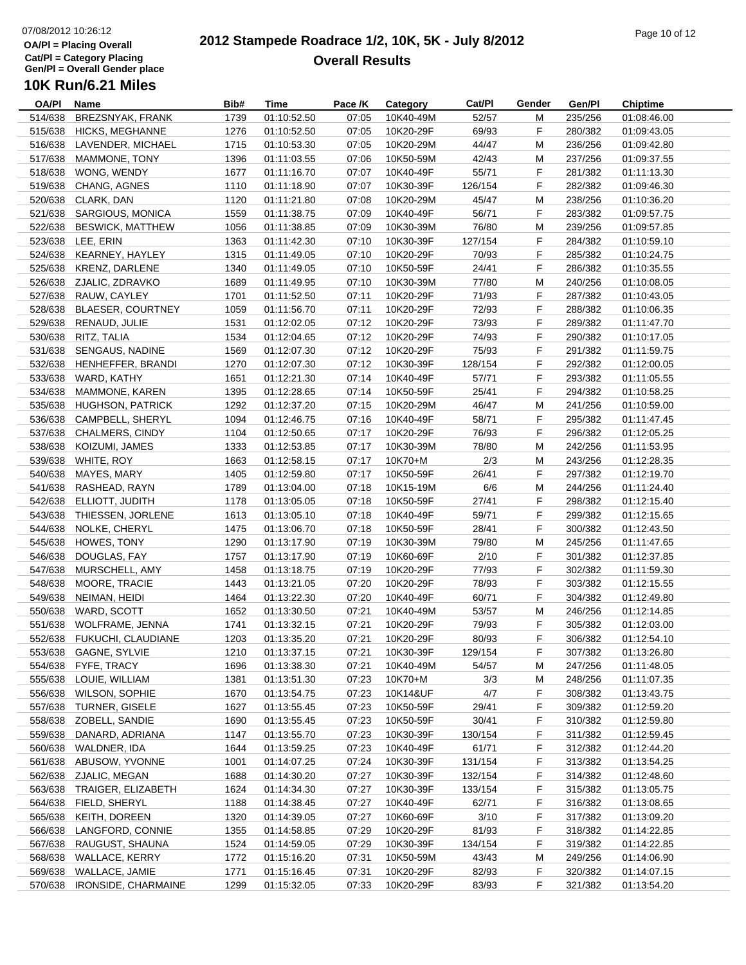#### **2012 Stampede Roadrace 1/2, 10K, 5K - July 8/2012** Page 10 of 12 **Overall Results**

| OA/PI   | <b>Name</b>              | Bib# | <b>Time</b> | Pace /K | Category  | Cat/PI  | Gender  | Gen/Pl  | <b>Chiptime</b> |
|---------|--------------------------|------|-------------|---------|-----------|---------|---------|---------|-----------------|
| 514/638 | BREZSNYAK, FRANK         | 1739 | 01:10:52.50 | 07:05   | 10K40-49M | 52/57   | М       | 235/256 | 01:08:46.00     |
| 515/638 | <b>HICKS, MEGHANNE</b>   | 1276 | 01:10:52.50 | 07:05   | 10K20-29F | 69/93   | F       | 280/382 | 01:09:43.05     |
| 516/638 | LAVENDER, MICHAEL        | 1715 | 01:10:53.30 | 07:05   | 10K20-29M | 44/47   | М       | 236/256 | 01:09:42.80     |
| 517/638 | MAMMONE, TONY            | 1396 | 01:11:03.55 | 07:06   | 10K50-59M | 42/43   | M       | 237/256 | 01:09:37.55     |
| 518/638 | WONG, WENDY              | 1677 | 01:11:16.70 | 07:07   | 10K40-49F | 55/71   | F       | 281/382 | 01:11:13.30     |
| 519/638 | CHANG, AGNES             | 1110 | 01:11:18.90 | 07:07   | 10K30-39F | 126/154 | F       | 282/382 | 01:09:46.30     |
| 520/638 | CLARK, DAN               | 1120 | 01:11:21.80 | 07:08   | 10K20-29M | 45/47   | M       | 238/256 | 01:10:36.20     |
| 521/638 | SARGIOUS, MONICA         | 1559 | 01:11:38.75 | 07:09   | 10K40-49F | 56/71   | F       | 283/382 | 01:09:57.75     |
| 522/638 | <b>BESWICK, MATTHEW</b>  | 1056 | 01:11:38.85 | 07:09   | 10K30-39M | 76/80   | M       | 239/256 | 01:09:57.85     |
| 523/638 | LEE, ERIN                | 1363 | 01:11:42.30 | 07:10   | 10K30-39F | 127/154 | F       | 284/382 | 01:10:59.10     |
| 524/638 | KEARNEY, HAYLEY          | 1315 | 01:11:49.05 | 07:10   | 10K20-29F | 70/93   | F       | 285/382 | 01:10:24.75     |
| 525/638 | <b>KRENZ, DARLENE</b>    | 1340 | 01:11:49.05 | 07:10   | 10K50-59F | 24/41   | F       | 286/382 | 01:10:35.55     |
| 526/638 | ZJALIC, ZDRAVKO          | 1689 | 01:11:49.95 | 07:10   | 10K30-39M | 77/80   | M       | 240/256 | 01:10:08.05     |
| 527/638 | RAUW, CAYLEY             | 1701 | 01:11:52.50 | 07:11   | 10K20-29F | 71/93   | F       | 287/382 | 01:10:43.05     |
| 528/638 | <b>BLAESER, COURTNEY</b> | 1059 | 01:11:56.70 | 07:11   | 10K20-29F | 72/93   | F       | 288/382 | 01:10:06.35     |
| 529/638 | RENAUD, JULIE            | 1531 | 01:12:02.05 | 07:12   | 10K20-29F | 73/93   | F       | 289/382 | 01:11:47.70     |
| 530/638 | RITZ, TALIA              | 1534 | 01:12:04.65 | 07:12   | 10K20-29F | 74/93   | F       | 290/382 | 01:10:17.05     |
|         | 531/638 SENGAUS, NADINE  | 1569 | 01:12:07.30 | 07:12   | 10K20-29F | 75/93   | F       | 291/382 | 01:11:59.75     |
|         |                          |      | 01:12:07.30 | 07:12   | 10K30-39F |         | F       |         |                 |
| 532/638 | HENHEFFER, BRANDI        | 1270 |             |         |           | 128/154 |         | 292/382 | 01:12:00.05     |
| 533/638 | WARD, KATHY              | 1651 | 01:12:21.30 | 07:14   | 10K40-49F | 57/71   | F       | 293/382 | 01:11:05.55     |
| 534/638 | MAMMONE, KAREN           | 1395 | 01:12:28.65 | 07:14   | 10K50-59F | 25/41   | F       | 294/382 | 01:10:58.25     |
| 535/638 | <b>HUGHSON, PATRICK</b>  | 1292 | 01:12:37.20 | 07:15   | 10K20-29M | 46/47   | M       | 241/256 | 01:10:59.00     |
| 536/638 | CAMPBELL, SHERYL         | 1094 | 01:12:46.75 | 07:16   | 10K40-49F | 58/71   | F       | 295/382 | 01:11:47.45     |
| 537/638 | <b>CHALMERS, CINDY</b>   | 1104 | 01:12:50.65 | 07:17   | 10K20-29F | 76/93   | F       | 296/382 | 01:12:05.25     |
| 538/638 | KOIZUMI, JAMES           | 1333 | 01:12:53.85 | 07:17   | 10K30-39M | 78/80   | M       | 242/256 | 01:11:53.95     |
| 539/638 | WHITE, ROY               | 1663 | 01:12:58.15 | 07:17   | 10K70+M   | 2/3     | M       | 243/256 | 01:12:28.35     |
| 540/638 | MAYES, MARY              | 1405 | 01:12:59.80 | 07:17   | 10K50-59F | 26/41   | F       | 297/382 | 01:12:19.70     |
| 541/638 | RASHEAD, RAYN            | 1789 | 01:13:04.00 | 07:18   | 10K15-19M | 6/6     | М       | 244/256 | 01:11:24.40     |
| 542/638 | ELLIOTT, JUDITH          | 1178 | 01:13:05.05 | 07:18   | 10K50-59F | 27/41   | F       | 298/382 | 01:12:15.40     |
| 543/638 | THIESSEN, JORLENE        | 1613 | 01:13:05.10 | 07:18   | 10K40-49F | 59/71   | F       | 299/382 | 01:12:15.65     |
| 544/638 | NOLKE, CHERYL            | 1475 | 01:13:06.70 | 07:18   | 10K50-59F | 28/41   | F       | 300/382 | 01:12:43.50     |
| 545/638 | HOWES, TONY              | 1290 | 01:13:17.90 | 07:19   | 10K30-39M | 79/80   | M       | 245/256 | 01:11:47.65     |
| 546/638 | DOUGLAS, FAY             | 1757 | 01:13:17.90 | 07:19   | 10K60-69F | 2/10    | F       | 301/382 | 01:12:37.85     |
| 547/638 | MURSCHELL, AMY           | 1458 | 01:13:18.75 | 07:19   | 10K20-29F | 77/93   | F       | 302/382 | 01:11:59.30     |
| 548/638 | MOORE, TRACIE            | 1443 | 01:13:21.05 | 07:20   | 10K20-29F | 78/93   | F       | 303/382 | 01:12:15.55     |
| 549/638 | NEIMAN, HEIDI            | 1464 | 01:13:22.30 | 07:20   | 10K40-49F | 60/71   | F       | 304/382 | 01:12:49.80     |
| 550/638 | WARD, SCOTT              | 1652 | 01:13:30.50 | 07:21   | 10K40-49M | 53/57   | M       | 246/256 | 01:12:14.85     |
| 551/638 | WOLFRAME, JENNA          | 1741 | 01:13:32.15 | 07:21   | 10K20-29F | 79/93   | F       | 305/382 | 01:12:03.00     |
| 552/638 | FUKUCHI, CLAUDIANE       | 1203 | 01:13:35.20 | 07:21   | 10K20-29F | 80/93   | F       | 306/382 | 01:12:54.10     |
| 553/638 | GAGNE, SYLVIE            | 1210 | 01:13:37.15 | 07:21   | 10K30-39F | 129/154 | F       | 307/382 | 01:13:26.80     |
| 554/638 | FYFE, TRACY              | 1696 | 01:13:38.30 | 07:21   | 10K40-49M | 54/57   | M       | 247/256 | 01:11:48.05     |
| 555/638 | LOUIE, WILLIAM           | 1381 | 01:13:51.30 | 07:23   | 10K70+M   | 3/3     | M       | 248/256 | 01:11:07.35     |
| 556/638 | WILSON, SOPHIE           | 1670 | 01:13:54.75 | 07:23   | 10K14&UF  | 4/7     | F       | 308/382 | 01:13:43.75     |
| 557/638 | TURNER, GISELE           | 1627 | 01:13:55.45 | 07:23   | 10K50-59F | 29/41   | F       | 309/382 | 01:12:59.20     |
| 558/638 | ZOBELL, SANDIE           | 1690 | 01:13:55.45 | 07:23   | 10K50-59F | 30/41   | F       | 310/382 | 01:12:59.80     |
| 559/638 | DANARD, ADRIANA          | 1147 | 01:13:55.70 | 07:23   | 10K30-39F | 130/154 | F       | 311/382 | 01:12:59.45     |
| 560/638 | WALDNER, IDA             | 1644 | 01:13:59.25 | 07:23   | 10K40-49F | 61/71   | F       | 312/382 | 01:12:44.20     |
| 561/638 | ABUSOW, YVONNE           | 1001 | 01:14:07.25 | 07:24   | 10K30-39F | 131/154 | F       | 313/382 | 01:13:54.25     |
| 562/638 | ZJALIC, MEGAN            | 1688 | 01:14:30.20 | 07:27   | 10K30-39F | 132/154 | F       | 314/382 | 01:12:48.60     |
| 563/638 | TRAIGER, ELIZABETH       | 1624 | 01:14:34.30 | 07:27   | 10K30-39F | 133/154 | F.      | 315/382 | 01:13:05.75     |
| 564/638 | FIELD, SHERYL            | 1188 | 01:14:38.45 | 07:27   | 10K40-49F | 62/71   | F       | 316/382 | 01:13:08.65     |
| 565/638 | KEITH, DOREEN            | 1320 | 01:14:39.05 | 07:27   | 10K60-69F | 3/10    | F.      | 317/382 | 01:13:09.20     |
| 566/638 | LANGFORD, CONNIE         | 1355 | 01:14:58.85 | 07:29   | 10K20-29F | 81/93   | F       | 318/382 | 01:14:22.85     |
| 567/638 | RAUGUST, SHAUNA          | 1524 | 01:14:59.05 | 07:29   | 10K30-39F | 134/154 | F       | 319/382 | 01:14:22.85     |
| 568/638 | WALLACE, KERRY           | 1772 | 01:15:16.20 | 07:31   | 10K50-59M | 43/43   | М       | 249/256 | 01:14:06.90     |
| 569/638 |                          |      |             | 07:31   |           |         |         | 320/382 |                 |
|         | WALLACE, JAMIE           | 1771 | 01:15:16.45 |         | 10K20-29F | 82/93   | F.<br>F |         | 01:14:07.15     |
| 570/638 | IRONSIDE, CHARMAINE      | 1299 | 01:15:32.05 | 07:33   | 10K20-29F | 83/93   |         | 321/382 | 01:13:54.20     |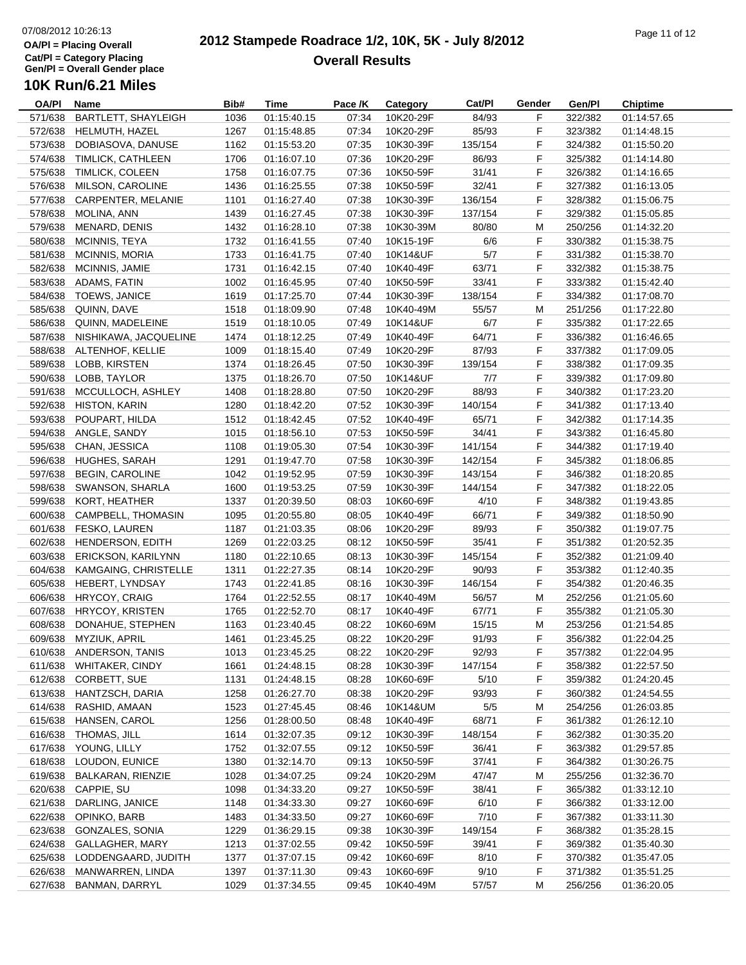#### **2012 Stampede Roadrace 1/2, 10K, 5K - July 8/2012**  $\frac{1}{2}$  Page 11 of 12 **Overall Results**

| OA/PI   | Name                           | Bib# | Time        | Pace /K | Category  | Cat/PI  | Gender | Gen/Pl  | <b>Chiptime</b> |  |
|---------|--------------------------------|------|-------------|---------|-----------|---------|--------|---------|-----------------|--|
| 571/638 | <b>BARTLETT, SHAYLEIGH</b>     | 1036 | 01:15:40.15 | 07:34   | 10K20-29F | 84/93   | F      | 322/382 | 01:14:57.65     |  |
| 572/638 | HELMUTH, HAZEL                 | 1267 | 01:15:48.85 | 07:34   | 10K20-29F | 85/93   | F      | 323/382 | 01:14:48.15     |  |
| 573/638 | DOBIASOVA, DANUSE              | 1162 | 01:15:53.20 | 07:35   | 10K30-39F | 135/154 | F      | 324/382 | 01:15:50.20     |  |
| 574/638 | TIMLICK, CATHLEEN              | 1706 | 01:16:07.10 | 07:36   | 10K20-29F | 86/93   | F      | 325/382 | 01:14:14.80     |  |
| 575/638 | TIMLICK, COLEEN                | 1758 | 01:16:07.75 | 07:36   | 10K50-59F | 31/41   | F      | 326/382 | 01:14:16.65     |  |
| 576/638 | MILSON, CAROLINE               | 1436 | 01:16:25.55 | 07:38   | 10K50-59F | 32/41   | F      | 327/382 | 01:16:13.05     |  |
| 577/638 | CARPENTER, MELANIE             | 1101 | 01:16:27.40 | 07:38   | 10K30-39F | 136/154 | F      | 328/382 | 01:15:06.75     |  |
| 578/638 | MOLINA, ANN                    | 1439 | 01:16:27.45 | 07:38   | 10K30-39F | 137/154 | F      | 329/382 | 01:15:05.85     |  |
| 579/638 | MENARD, DENIS                  | 1432 | 01:16:28.10 | 07:38   | 10K30-39M | 80/80   | М      | 250/256 | 01:14:32.20     |  |
| 580/638 | MCINNIS, TEYA                  | 1732 | 01:16:41.55 | 07:40   | 10K15-19F | 6/6     | F      | 330/382 | 01:15:38.75     |  |
| 581/638 | <b>MCINNIS, MORIA</b>          | 1733 | 01:16:41.75 | 07:40   | 10K14&UF  | 5/7     | F      | 331/382 | 01:15:38.70     |  |
| 582/638 | MCINNIS, JAMIE                 | 1731 | 01:16:42.15 | 07:40   | 10K40-49F | 63/71   | F.     | 332/382 | 01:15:38.75     |  |
| 583/638 | ADAMS, FATIN                   | 1002 | 01:16:45.95 | 07:40   | 10K50-59F | 33/41   | F      | 333/382 | 01:15:42.40     |  |
| 584/638 | TOEWS, JANICE                  | 1619 | 01:17:25.70 | 07:44   | 10K30-39F | 138/154 | F      | 334/382 | 01:17:08.70     |  |
| 585/638 | QUINN, DAVE                    | 1518 | 01:18:09.90 | 07:48   | 10K40-49M | 55/57   | М      | 251/256 | 01:17:22.80     |  |
| 586/638 | QUINN, MADELEINE               | 1519 | 01:18:10.05 | 07:49   | 10K14&UF  | 6/7     | F      | 335/382 | 01:17:22.65     |  |
|         |                                |      |             |         |           |         | F      |         |                 |  |
| 587/638 | NISHIKAWA, JACQUELINE          | 1474 | 01:18:12.25 | 07:49   | 10K40-49F | 64/71   |        | 336/382 | 01:16:46.65     |  |
| 588/638 | ALTENHOF, KELLIE               | 1009 | 01:18:15.40 | 07:49   | 10K20-29F | 87/93   | F      | 337/382 | 01:17:09.05     |  |
| 589/638 | LOBB, KIRSTEN                  | 1374 | 01:18:26.45 | 07:50   | 10K30-39F | 139/154 | F      | 338/382 | 01:17:09.35     |  |
| 590/638 | LOBB, TAYLOR                   | 1375 | 01:18:26.70 | 07:50   | 10K14&UF  | 7/7     | F      | 339/382 | 01:17:09.80     |  |
| 591/638 | MCCULLOCH, ASHLEY              | 1408 | 01:18:28.80 | 07:50   | 10K20-29F | 88/93   | F      | 340/382 | 01:17:23.20     |  |
| 592/638 | <b>HISTON, KARIN</b>           | 1280 | 01:18:42.20 | 07:52   | 10K30-39F | 140/154 | F      | 341/382 | 01:17:13.40     |  |
| 593/638 | POUPART, HILDA                 | 1512 | 01:18:42.45 | 07:52   | 10K40-49F | 65/71   | F      | 342/382 | 01:17:14.35     |  |
| 594/638 | ANGLE, SANDY                   | 1015 | 01:18:56.10 | 07:53   | 10K50-59F | 34/41   | F      | 343/382 | 01:16:45.80     |  |
| 595/638 | CHAN, JESSICA                  | 1108 | 01:19:05.30 | 07:54   | 10K30-39F | 141/154 | F      | 344/382 | 01:17:19.40     |  |
| 596/638 | HUGHES, SARAH                  | 1291 | 01:19:47.70 | 07:58   | 10K30-39F | 142/154 | F      | 345/382 | 01:18:06.85     |  |
| 597/638 | <b>BEGIN, CAROLINE</b>         | 1042 | 01:19:52.95 | 07:59   | 10K30-39F | 143/154 | F      | 346/382 | 01:18:20.85     |  |
| 598/638 | SWANSON, SHARLA                | 1600 | 01:19:53.25 | 07:59   | 10K30-39F | 144/154 | F      | 347/382 | 01:18:22.05     |  |
| 599/638 | KORT, HEATHER                  | 1337 | 01:20:39.50 | 08:03   | 10K60-69F | 4/10    | F      | 348/382 | 01:19:43.85     |  |
| 600/638 | CAMPBELL, THOMASIN             | 1095 | 01:20:55.80 | 08:05   | 10K40-49F | 66/71   | F      | 349/382 | 01:18:50.90     |  |
| 601/638 | FESKO, LAUREN                  | 1187 | 01:21:03.35 | 08:06   | 10K20-29F | 89/93   | F      | 350/382 | 01:19:07.75     |  |
| 602/638 | HENDERSON, EDITH               | 1269 | 01:22:03.25 | 08:12   | 10K50-59F | 35/41   | F      | 351/382 | 01:20:52.35     |  |
| 603/638 | <b>ERICKSON, KARILYNN</b>      | 1180 | 01:22:10.65 | 08:13   | 10K30-39F | 145/154 | F      | 352/382 | 01:21:09.40     |  |
| 604/638 | KAMGAING, CHRISTELLE           | 1311 | 01:22:27.35 | 08:14   | 10K20-29F | 90/93   | F      | 353/382 | 01:12:40.35     |  |
| 605/638 | HEBERT, LYNDSAY                | 1743 | 01:22:41.85 | 08:16   | 10K30-39F | 146/154 | F      | 354/382 | 01:20:46.35     |  |
| 606/638 | <b>HRYCOY, CRAIG</b>           | 1764 | 01:22:52.55 | 08:17   | 10K40-49M | 56/57   | М      | 252/256 | 01:21:05.60     |  |
| 607/638 | <b>HRYCOY, KRISTEN</b>         | 1765 | 01:22:52.70 | 08:17   | 10K40-49F | 67/71   | F      | 355/382 | 01:21:05.30     |  |
| 608/638 | DONAHUE, STEPHEN               | 1163 | 01:23:40.45 | 08:22   | 10K60-69M | 15/15   | M      | 253/256 | 01:21:54.85     |  |
| 609/638 | MYZIUK, APRIL                  | 1461 | 01:23:45.25 | 08:22   | 10K20-29F | 91/93   | F      | 356/382 | 01:22:04.25     |  |
|         | 610/638 ANDERSON, TANIS        | 1013 | 01:23:45.25 | 08:22   | 10K20-29F | 92/93   | F      | 357/382 | 01:22:04.95     |  |
| 611/638 | <b>WHITAKER, CINDY</b>         | 1661 | 01:24:48.15 | 08:28   | 10K30-39F | 147/154 | F      | 358/382 | 01:22:57.50     |  |
| 612/638 | CORBETT, SUE                   | 1131 | 01:24:48.15 | 08:28   | 10K60-69F | 5/10    | F      | 359/382 | 01:24:20.45     |  |
| 613/638 | HANTZSCH, DARIA                | 1258 | 01:26:27.70 | 08:38   | 10K20-29F | 93/93   | F      | 360/382 | 01:24:54.55     |  |
| 614/638 | RASHID, AMAAN                  | 1523 | 01:27:45.45 | 08:46   | 10K14&UM  | 5/5     | М      | 254/256 | 01:26:03.85     |  |
| 615/638 | HANSEN, CAROL                  | 1256 | 01:28:00.50 | 08:48   | 10K40-49F | 68/71   | F      | 361/382 | 01:26:12.10     |  |
| 616/638 | THOMAS, JILL                   | 1614 | 01:32:07.35 | 09:12   | 10K30-39F | 148/154 | F.     | 362/382 | 01:30:35.20     |  |
|         |                                |      |             |         |           |         |        |         |                 |  |
| 617/638 | YOUNG, LILLY<br>LOUDON, EUNICE | 1752 | 01:32:07.55 | 09:12   | 10K50-59F | 36/41   | F      | 363/382 | 01:29:57.85     |  |
| 618/638 |                                | 1380 | 01:32:14.70 | 09:13   | 10K50-59F | 37/41   | F      | 364/382 | 01:30:26.75     |  |
| 619/638 | <b>BALKARAN, RIENZIE</b>       | 1028 | 01:34:07.25 | 09:24   | 10K20-29M | 47/47   | M      | 255/256 | 01:32:36.70     |  |
| 620/638 | CAPPIE, SU                     | 1098 | 01:34:33.20 | 09:27   | 10K50-59F | 38/41   | F      | 365/382 | 01:33:12.10     |  |
| 621/638 | DARLING, JANICE                | 1148 | 01:34:33.30 | 09:27   | 10K60-69F | 6/10    | F      | 366/382 | 01:33:12.00     |  |
| 622/638 | OPINKO, BARB                   | 1483 | 01:34:33.50 | 09:27   | 10K60-69F | 7/10    | F.     | 367/382 | 01:33:11.30     |  |
| 623/638 | GONZALES, SONIA                | 1229 | 01:36:29.15 | 09:38   | 10K30-39F | 149/154 | F      | 368/382 | 01:35:28.15     |  |
| 624/638 | GALLAGHER, MARY                | 1213 | 01:37:02.55 | 09:42   | 10K50-59F | 39/41   | F      | 369/382 | 01:35:40.30     |  |
| 625/638 | LODDENGAARD, JUDITH            | 1377 | 01:37:07.15 | 09:42   | 10K60-69F | 8/10    | F      | 370/382 | 01:35:47.05     |  |
| 626/638 | MANWARREN, LINDA               | 1397 | 01:37:11.30 | 09:43   | 10K60-69F | 9/10    | F      | 371/382 | 01:35:51.25     |  |
| 627/638 | <b>BANMAN, DARRYL</b>          | 1029 | 01:37:34.55 | 09:45   | 10K40-49M | 57/57   | M      | 256/256 | 01:36:20.05     |  |